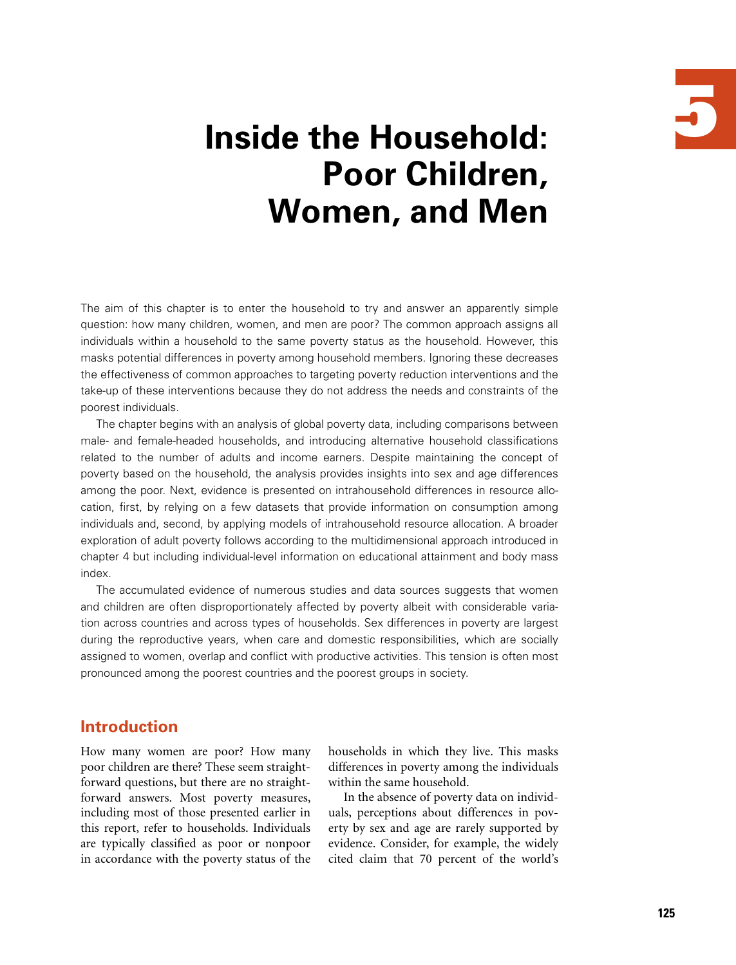

# **Inside the Household: Poor Children, Women, and Men**

The aim of this chapter is to enter the household to try and answer an apparently simple question: how many children, women, and men are poor? The common approach assigns all individuals within a household to the same poverty status as the household. However, this masks potential differences in poverty among household members. Ignoring these decreases the effectiveness of common approaches to targeting poverty reduction interventions and the take-up of these interventions because they do not address the needs and constraints of the poorest individuals.

The chapter begins with an analysis of global poverty data, including comparisons between male- and female-headed households, and introducing alternative household classifications related to the number of adults and income earners. Despite maintaining the concept of poverty based on the household, the analysis provides insights into sex and age differences among the poor. Next, evidence is presented on intrahousehold differences in resource allocation, first, by relying on a few datasets that provide information on consumption among individuals and, second, by applying models of intrahousehold resource allocation. A broader exploration of adult poverty follows according to the multidimensional approach introduced in chapter 4 but including individual-level information on educational attainment and body mass index.

The accumulated evidence of numerous studies and data sources suggests that women and children are often disproportionately affected by poverty albeit with considerable variation across countries and across types of households. Sex differences in poverty are largest during the reproductive years, when care and domestic responsibilities, which are socially assigned to women, overlap and conflict with productive activities. This tension is often most pronounced among the poorest countries and the poorest groups in society.

## **Introduction**

How many women are poor? How many poor children are there? These seem straightforward questions, but there are no straightforward answers. Most poverty measures, including most of those presented earlier in this report, refer to households. Individuals are typically classified as poor or nonpoor in accordance with the poverty status of the

households in which they live. This masks differences in poverty among the individuals within the same household.

In the absence of poverty data on individuals, perceptions about differences in poverty by sex and age are rarely supported by evidence. Consider, for example, the widely cited claim that 70 percent of the world's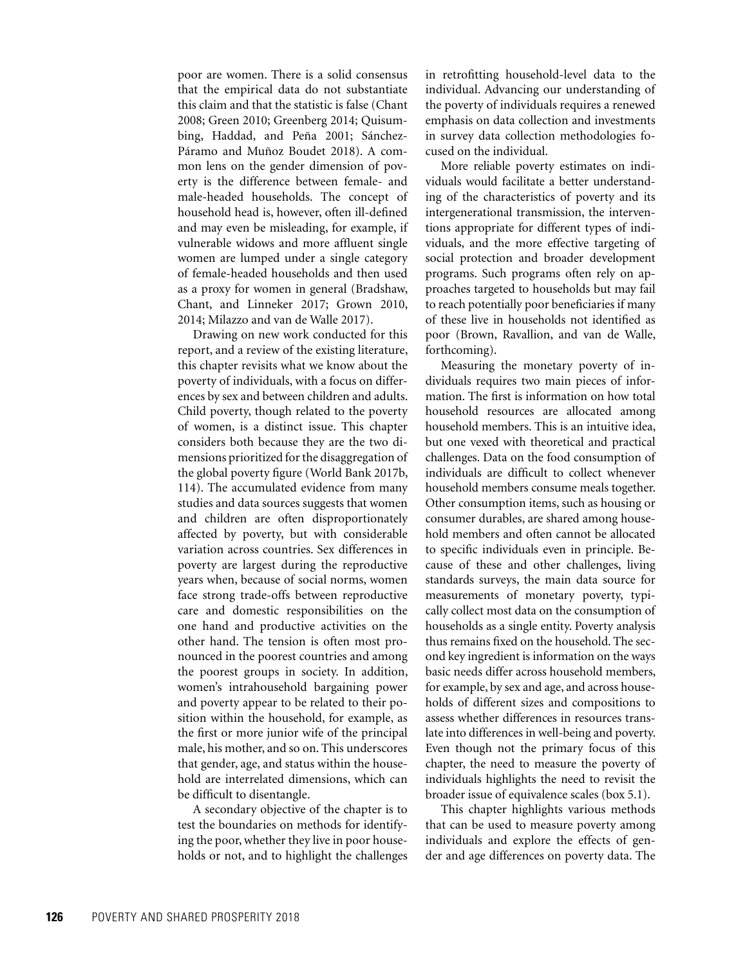poor are women. There is a solid consensus that the empirical data do not substantiate this claim and that the statistic is false (Chant 2008; Green 2010; Greenberg 2014; Quisumbing, Haddad, and Peña 2001; Sánchez-Páramo and Muñoz Boudet 2018). A common lens on the gender dimension of poverty is the difference between female- and male-headed households. The concept of household head is, however, often ill-defined and may even be misleading, for example, if vulnerable widows and more affluent single women are lumped under a single category of female-headed households and then used as a proxy for women in general (Bradshaw, Chant, and Linneker 2017; Grown 2010, 2014; Milazzo and van de Walle 2017).

Drawing on new work conducted for this report, and a review of the existing literature, this chapter revisits what we know about the poverty of individuals, with a focus on differences by sex and between children and adults. Child poverty, though related to the poverty of women, is a distinct issue. This chapter considers both because they are the two dimensions prioritized for the disaggregation of the global poverty figure (World Bank 2017b, 114). The accumulated evidence from many studies and data sources suggests that women and children are often disproportionately affected by poverty, but with considerable variation across countries. Sex differences in poverty are largest during the reproductive years when, because of social norms, women face strong trade-offs between reproductive care and domestic responsibilities on the one hand and productive activities on the other hand. The tension is often most pronounced in the poorest countries and among the poorest groups in society. In addition, women's intrahousehold bargaining power and poverty appear to be related to their position within the household, for example, as the first or more junior wife of the principal male, his mother, and so on. This underscores that gender, age, and status within the household are interrelated dimensions, which can be difficult to disentangle.

A secondary objective of the chapter is to test the boundaries on methods for identifying the poor, whether they live in poor households or not, and to highlight the challenges

in retrofitting household-level data to the individual. Advancing our understanding of the poverty of individuals requires a renewed emphasis on data collection and investments in survey data collection methodologies focused on the individual.

More reliable poverty estimates on individuals would facilitate a better understanding of the characteristics of poverty and its intergenerational transmission, the interventions appropriate for different types of individuals, and the more effective targeting of social protection and broader development programs. Such programs often rely on approaches targeted to households but may fail to reach potentially poor beneficiaries if many of these live in households not identified as poor (Brown, Ravallion, and van de Walle, forthcoming).

Measuring the monetary poverty of individuals requires two main pieces of information. The first is information on how total household resources are allocated among household members. This is an intuitive idea, but one vexed with theoretical and practical challenges. Data on the food consumption of individuals are difficult to collect whenever household members consume meals together. Other consumption items, such as housing or consumer durables, are shared among household members and often cannot be allocated to specific individuals even in principle. Because of these and other challenges, living standards surveys, the main data source for measurements of monetary poverty, typically collect most data on the consumption of households as a single entity. Poverty analysis thus remains fixed on the household. The second key ingredient is information on the ways basic needs differ across household members, for example, by sex and age, and across households of different sizes and compositions to assess whether differences in resources translate into differences in well-being and poverty. Even though not the primary focus of this chapter, the need to measure the poverty of individuals highlights the need to revisit the broader issue of equivalence scales (box 5.1).

This chapter highlights various methods that can be used to measure poverty among individuals and explore the effects of gender and age differences on poverty data. The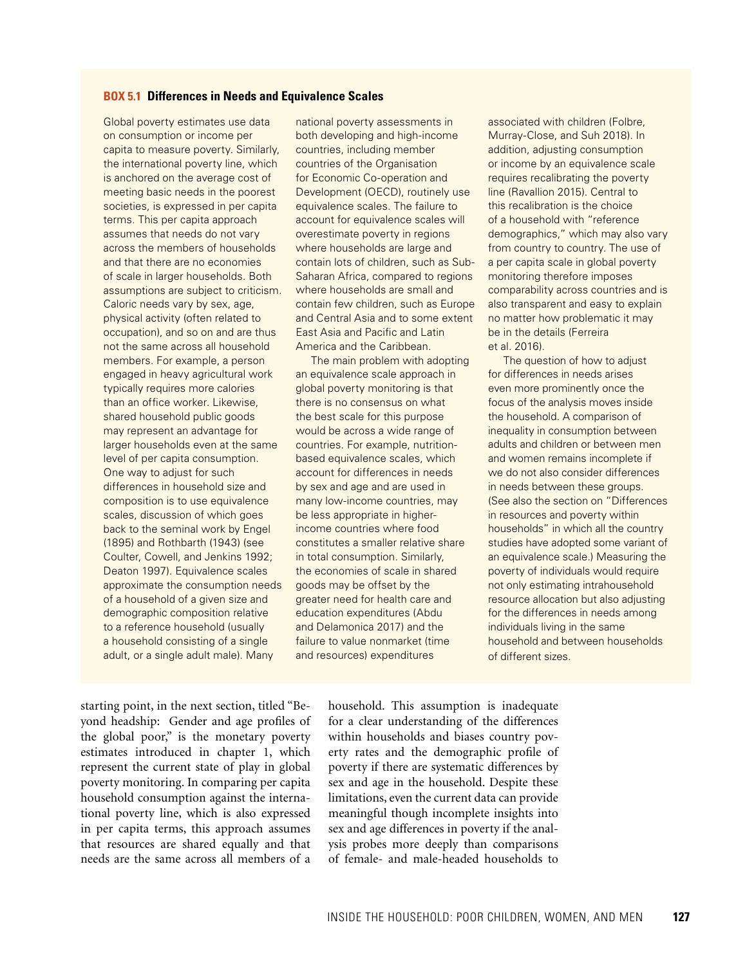#### **BOX 5.1 Differences in Needs and Equivalence Scales**

Global poverty estimates use data on consumption or income per capita to measure poverty. Similarly, the international poverty line, which is anchored on the average cost of meeting basic needs in the poorest societies, is expressed in per capita terms. This per capita approach assumes that needs do not vary across the members of households and that there are no economies of scale in larger households. Both assumptions are subject to criticism. Caloric needs vary by sex, age, physical activity (often related to occupation), and so on and are thus not the same across all household members. For example, a person engaged in heavy agricultural work typically requires more calories than an office worker. Likewise, shared household public goods may represent an advantage for larger households even at the same level of per capita consumption. One way to adjust for such differences in household size and composition is to use equivalence scales, discussion of which goes back to the seminal work by Engel (1895) and Rothbarth (1943) (see Coulter, Cowell, and Jenkins 1992; Deaton 1997). Equivalence scales approximate the consumption needs of a household of a given size and demographic composition relative to a reference household (usually a household consisting of a single adult, or a single adult male). Many

national poverty assessments in both developing and high-income countries, including member countries of the Organisation for Economic Co-operation and Development (OECD), routinely use equivalence scales. The failure to account for equivalence scales will overestimate poverty in regions where households are large and contain lots of children, such as Sub-Saharan Africa, compared to regions where households are small and contain few children, such as Europe and Central Asia and to some extent East Asia and Pacific and Latin America and the Caribbean.

The main problem with adopting an equivalence scale approach in global poverty monitoring is that there is no consensus on what the best scale for this purpose would be across a wide range of countries. For example, nutritionbased equivalence scales, which account for differences in needs by sex and age and are used in many low-income countries, may be less appropriate in higherincome countries where food constitutes a smaller relative share in total consumption. Similarly, the economies of scale in shared goods may be offset by the greater need for health care and education expenditures (Abdu and Delamonica 2017) and the failure to value nonmarket (time and resources) expenditures

associated with children (Folbre, Murray-Close, and Suh 2018). In addition, adjusting consumption or income by an equivalence scale requires recalibrating the poverty line (Ravallion 2015). Central to this recalibration is the choice of a household with "reference demographics," which may also vary from country to country. The use of a per capita scale in global poverty monitoring therefore imposes comparability across countries and is also transparent and easy to explain no matter how problematic it may be in the details (Ferreira et al. 2016).

The question of how to adjust for differences in needs arises even more prominently once the focus of the analysis moves inside the household. A comparison of inequality in consumption between adults and children or between men and women remains incomplete if we do not also consider differences in needs between these groups. (See also the section on "Differences in resources and poverty within households" in which all the country studies have adopted some variant of an equivalence scale.) Measuring the poverty of individuals would require not only estimating intrahousehold resource allocation but also adjusting for the differences in needs among individuals living in the same household and between households of different sizes.

starting point, in the next section, titled "Beyond headship: Gender and age profiles of the global poor," is the monetary poverty estimates introduced in chapter 1, which represent the current state of play in global poverty monitoring. In comparing per capita household consumption against the international poverty line, which is also expressed in per capita terms, this approach assumes that resources are shared equally and that needs are the same across all members of a

household. This assumption is inadequate for a clear understanding of the differences within households and biases country poverty rates and the demographic profile of poverty if there are systematic differences by sex and age in the household. Despite these limitations, even the current data can provide meaningful though incomplete insights into sex and age differences in poverty if the analysis probes more deeply than comparisons of female- and male-headed households to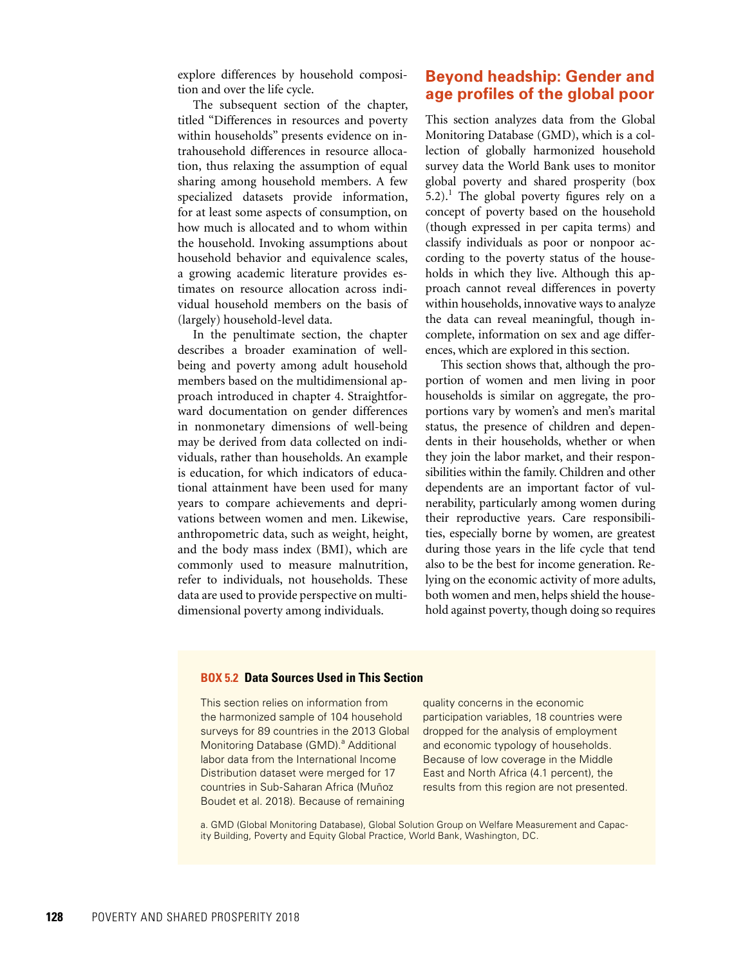explore differences by household composition and over the life cycle.

The subsequent section of the chapter, titled "Differences in resources and poverty within households" presents evidence on intrahousehold differences in resource allocation, thus relaxing the assumption of equal sharing among household members. A few specialized datasets provide information, for at least some aspects of consumption, on how much is allocated and to whom within the household. Invoking assumptions about household behavior and equivalence scales, a growing academic literature provides estimates on resource allocation across individual household members on the basis of (largely) household-level data.

In the penultimate section, the chapter describes a broader examination of wellbeing and poverty among adult household members based on the multidimensional approach introduced in chapter 4. Straightforward documentation on gender differences in nonmonetary dimensions of well-being may be derived from data collected on individuals, rather than households. An example is education, for which indicators of educational attainment have been used for many years to compare achievements and deprivations between women and men. Likewise, anthropometric data, such as weight, height, and the body mass index (BMI), which are commonly used to measure malnutrition, refer to individuals, not households. These data are used to provide perspective on multidimensional poverty among individuals.

## **Beyond headship: Gender and age profiles of the global poor**

This section analyzes data from the Global Monitoring Database (GMD), which is a collection of globally harmonized household survey data the World Bank uses to monitor global poverty and shared prosperity (box  $5.2$ ).<sup>1</sup> The global poverty figures rely on a concept of poverty based on the household (though expressed in per capita terms) and classify individuals as poor or nonpoor according to the poverty status of the households in which they live. Although this approach cannot reveal differences in poverty within households, innovative ways to analyze the data can reveal meaningful, though incomplete, information on sex and age differences, which are explored in this section.

This section shows that, although the proportion of women and men living in poor households is similar on aggregate, the proportions vary by women's and men's marital status, the presence of children and dependents in their households, whether or when they join the labor market, and their responsibilities within the family. Children and other dependents are an important factor of vulnerability, particularly among women during their reproductive years. Care responsibilities, especially borne by women, are greatest during those years in the life cycle that tend also to be the best for income generation. Relying on the economic activity of more adults, both women and men, helps shield the household against poverty, though doing so requires

#### **BOX 5.2 Data Sources Used in This Section**

This section relies on information from the harmonized sample of 104 household surveys for 89 countries in the 2013 Global Monitoring Database (GMD).<sup>a</sup> Additional labor data from the International Income Distribution dataset were merged for 17 countries in Sub-Saharan Africa (Muñoz Boudet et al. 2018). Because of remaining

quality concerns in the economic participation variables, 18 countries were dropped for the analysis of employment and economic typology of households. Because of low coverage in the Middle East and North Africa (4.1 percent), the results from this region are not presented.

a. GMD (Global Monitoring Database), Global Solution Group on Welfare Measurement and Capacity Building, Poverty and Equity Global Practice, World Bank, Washington, DC.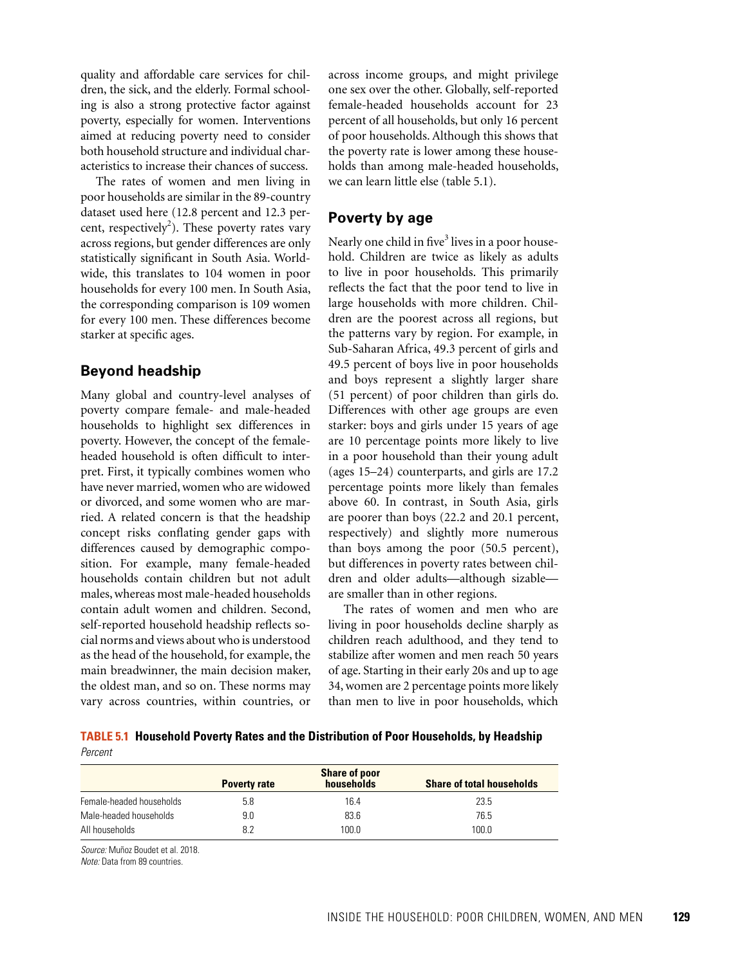quality and affordable care services for children, the sick, and the elderly. Formal schooling is also a strong protective factor against poverty, especially for women. Interventions aimed at reducing poverty need to consider both household structure and individual characteristics to increase their chances of success.

The rates of women and men living in poor households are similar in the 89-country dataset used here (12.8 percent and 12.3 percent, respectively<sup>2</sup>). These poverty rates vary across regions, but gender differences are only statistically significant in South Asia. Worldwide, this translates to 104 women in poor households for every 100 men. In South Asia, the corresponding comparison is 109 women for every 100 men. These differences become starker at specific ages.

### **Beyond headship**

Many global and country-level analyses of poverty compare female- and male-headed households to highlight sex differences in poverty. However, the concept of the femaleheaded household is often difficult to interpret. First, it typically combines women who have never married, women who are widowed or divorced, and some women who are married. A related concern is that the headship concept risks conflating gender gaps with differences caused by demographic composition. For example, many female-headed households contain children but not adult males, whereas most male-headed households contain adult women and children. Second, self-reported household headship reflects social norms and views about who is understood as the head of the household, for example, the main breadwinner, the main decision maker, the oldest man, and so on. These norms may vary across countries, within countries, or

across income groups, and might privilege one sex over the other. Globally, self-reported female-headed households account for 23 percent of all households, but only 16 percent of poor households. Although this shows that the poverty rate is lower among these households than among male-headed households, we can learn little else (table 5.1).

## **Poverty by age**

Nearly one child in five<sup>3</sup> lives in a poor household. Children are twice as likely as adults to live in poor households. This primarily reflects the fact that the poor tend to live in large households with more children. Children are the poorest across all regions, but the patterns vary by region. For example, in Sub-Saharan Africa, 49.3 percent of girls and 49.5 percent of boys live in poor households and boys represent a slightly larger share (51 percent) of poor children than girls do. Differences with other age groups are even starker: boys and girls under 15 years of age are 10 percentage points more likely to live in a poor household than their young adult (ages 15–24) counterparts, and girls are 17.2 percentage points more likely than females above 60. In contrast, in South Asia, girls are poorer than boys (22.2 and 20.1 percent, respectively) and slightly more numerous than boys among the poor (50.5 percent), but differences in poverty rates between children and older adults—although sizable are smaller than in other regions.

The rates of women and men who are living in poor households decline sharply as children reach adulthood, and they tend to stabilize after women and men reach 50 years of age. Starting in their early 20s and up to age 34, women are 2 percentage points more likely than men to live in poor households, which

**TABLE 5.1 Household Poverty Rates and the Distribution of Poor Households, by Headship** *Percent*

|                          | <b>Share of poor</b> |            |                                  |
|--------------------------|----------------------|------------|----------------------------------|
|                          | <b>Poverty rate</b>  | households | <b>Share of total households</b> |
| Female-headed households | 5.8                  | 16.4       | 23.5                             |
| Male-headed households   | 9.0                  | 83.6       | 76.5                             |
| All households           | 8.2                  | 100.0      | 100.0                            |

*Source:* Muñoz Boudet et al. 2018.

*Note:* Data from 89 countries.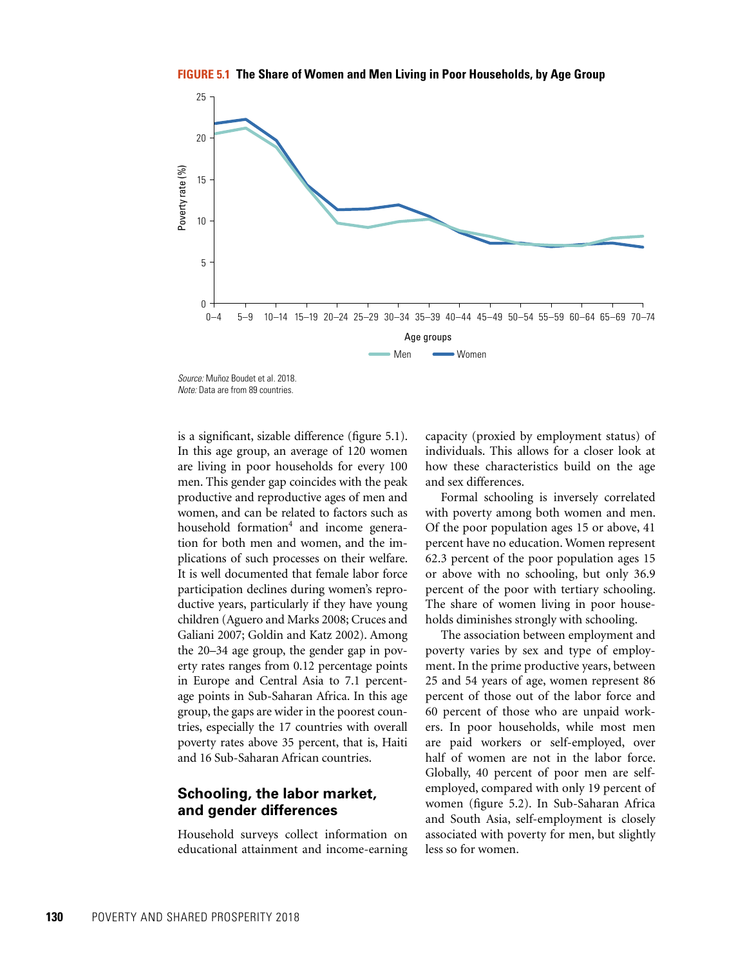**FIGURE 5.1 The Share of Women and Men Living in Poor Households, by Age Group**



*Source:* Muñoz Boudet et al. 2018. *Note:* Data are from 89 countries.

**130** Poverty *Andreig* Books and *Lendard Condensition* Books and *C* Point of *B* Power Data are from 69 countries.<br>
130 Alvee Data are from 69 countries.<br>
141 This age group, an an architect and a condensity are are liv is a significant, sizable difference (figure 5.1). In this age group, an average of 120 women are living in poor households for every 100 men. This gender gap coincides with the peak productive and reproductive ages of men and women, and can be related to factors such as household formation<sup>4</sup> and income generation for both men and women, and the implications of such processes on their welfare. It is well documented that female labor force participation declines during women's reproductive years, particularly if they have young children (Aguero and Marks 2008; Cruces and Galiani 2007; Goldin and Katz 2002). Among the 20–34 age group, the gender gap in poverty rates ranges from 0.12 percentage points in Europe and Central Asia to 7.1 percentage points in Sub-Saharan Africa. In this age group, the gaps are wider in the poorest countries, especially the 17 countries with overall poverty rates above 35 percent, that is, Haiti and 16 Sub-Saharan African countries.

## **Schooling, the labor market, and gender differences**

Household surveys collect information on educational attainment and income-earning

capacity (proxied by employment status) of individuals. This allows for a closer look at how these characteristics build on the age and sex differences.

Formal schooling is inversely correlated with poverty among both women and men. Of the poor population ages 15 or above, 41 percent have no education. Women represent 62.3 percent of the poor population ages 15 or above with no schooling, but only 36.9 percent of the poor with tertiary schooling. The share of women living in poor households diminishes strongly with schooling.

The association between employment and poverty varies by sex and type of employment. In the prime productive years, between 25 and 54 years of age, women represent 86 percent of those out of the labor force and 60 percent of those who are unpaid workers. In poor households, while most men are paid workers or self-employed, over half of women are not in the labor force. Globally, 40 percent of poor men are selfemployed, compared with only 19 percent of women (figure 5.2). In Sub-Saharan Africa and South Asia, self-employment is closely associated with poverty for men, but slightly less so for women.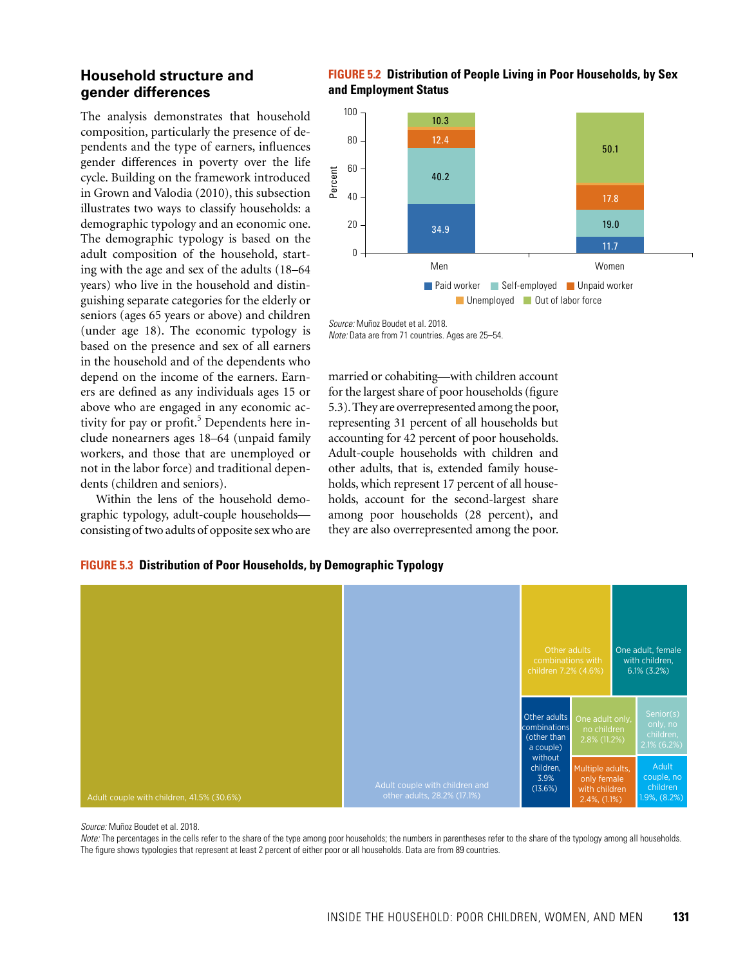## **Household structure and gender differences**

The analysis demonstrates that household composition, particularly the presence of dependents and the type of earners, influences gender differences in poverty over the life cycle. Building on the framework introduced in Grown and Valodia (2010), this subsection illustrates two ways to classify households: a demographic typology and an economic one. The demographic typology is based on the adult composition of the household, starting with the age and sex of the adults (18–64 years) who live in the household and distinguishing separate categories for the elderly or seniors (ages 65 years or above) and children (under age 18). The economic typology is based on the presence and sex of all earners in the household and of the dependents who depend on the income of the earners. Earners are defined as any individuals ages 15 or above who are engaged in any economic activity for pay or profit.<sup>5</sup> Dependents here include nonearners ages 18–64 (unpaid family workers, and those that are unemployed or not in the labor force) and traditional dependents (children and seniors).

Within the lens of the household demographic typology, adult-couple households consisting of two adults of opposite sex who are



#### **FIGURE 5.2 Distribution of People Living in Poor Households, by Sex and Employment Status**

married or cohabiting—with children account for the largest share of poor households (figure 5.3). They are overrepresented among the poor, representing 31 percent of all households but accounting for 42 percent of poor households. Adult-couple households with children and other adults, that is, extended family households, which represent 17 percent of all households, account for the second-largest share among poor households (28 percent), and they are also overrepresented among the poor.

#### **FIGURE 5.3 Distribution of Poor Households, by Demographic Typology**



*Source:* Muñoz Boudet et al. 2018.

*Note:* The percentages in the cells refer to the share of the type among poor households; the numbers in parentheses refer to the share of the typology among all households. The figure shows typologies that represent at least 2 percent of either poor or all households. Data are from 89 countries.

*Source:* Muñoz Boudet et al. 2018.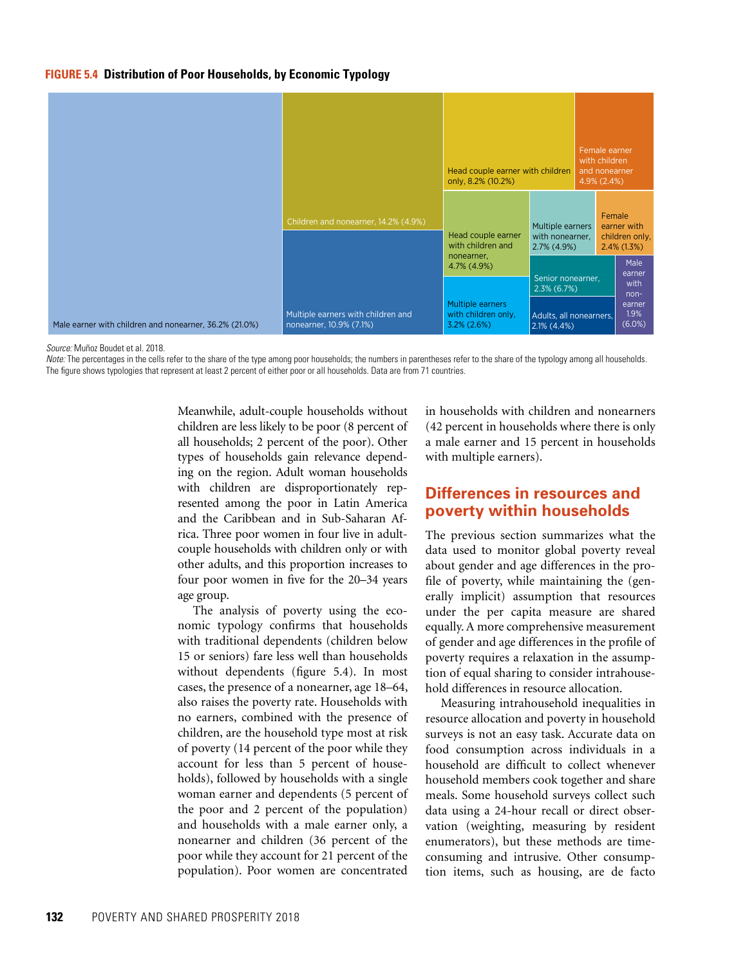#### **FIGURE 5.4 Distribution of Poor Households, by Economic Typology**



*Source:* Muñoz Boudet et al. 2018.

*Note:* The percentages in the cells refer to the share of the type among poor households; the numbers in parentheses refer to the share of the typology among all households. The figure shows typologies that represent at least 2 percent of either poor or all households. Data are from 71 countries.

> Meanwhile, adult-couple households without children are less likely to be poor (8 percent of all households; 2 percent of the poor). Other types of households gain relevance depending on the region. Adult woman households with children are disproportionately represented among the poor in Latin America and the Caribbean and in Sub-Saharan Africa. Three poor women in four live in adultcouple households with children only or with other adults, and this proportion increases to four poor women in five for the 20–34 years age group.

> The analysis of poverty using the economic typology confirms that households with traditional dependents (children below 15 or seniors) fare less well than households without dependents (figure 5.4). In most cases, the presence of a nonearner, age 18–64, also raises the poverty rate. Households with no earners, combined with the presence of children, are the household type most at risk of poverty (14 percent of the poor while they account for less than 5 percent of households), followed by households with a single woman earner and dependents (5 percent of the poor and 2 percent of the population) and households with a male earner only, a nonearner and children (36 percent of the poor while they account for 21 percent of the population). Poor women are concentrated

in households with children and nonearners (42 percent in households where there is only a male earner and 15 percent in households with multiple earners).

## **Differences in resources and poverty within households**

The previous section summarizes what the data used to monitor global poverty reveal about gender and age differences in the profile of poverty, while maintaining the (generally implicit) assumption that resources under the per capita measure are shared equally. A more comprehensive measurement of gender and age differences in the profile of poverty requires a relaxation in the assumption of equal sharing to consider intrahousehold differences in resource allocation.

Measuring intrahousehold inequalities in resource allocation and poverty in household surveys is not an easy task. Accurate data on food consumption across individuals in a household are difficult to collect whenever household members cook together and share meals. Some household surveys collect such data using a 24-hour recall or direct observation (weighting, measuring by resident enumerators), but these methods are timeconsuming and intrusive. Other consumption items, such as housing, are de facto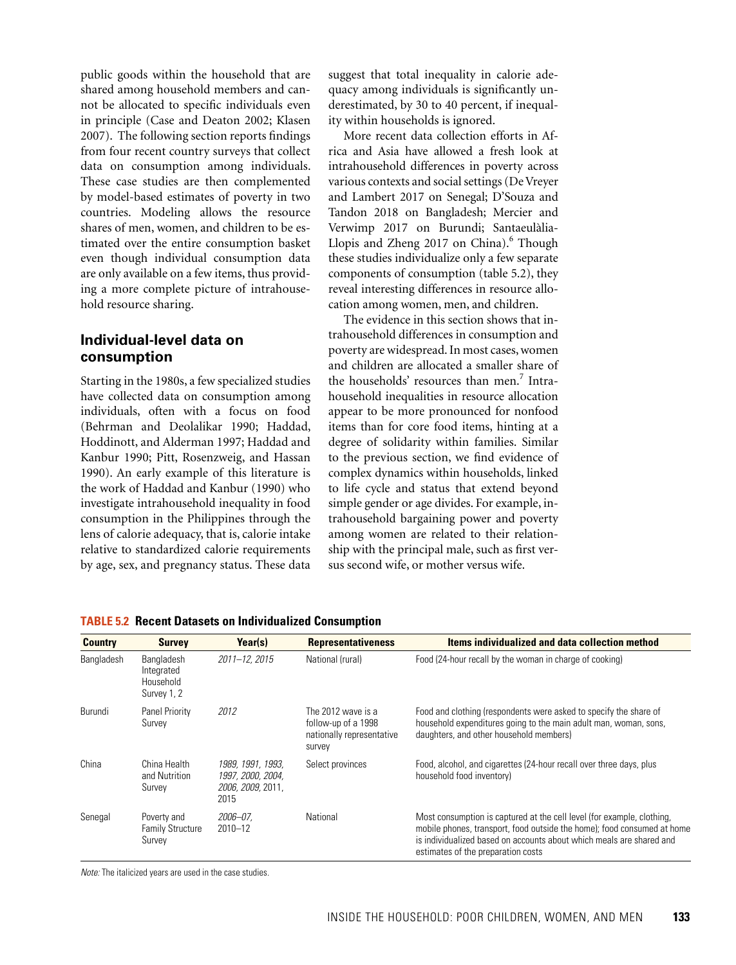public goods within the household that are shared among household members and cannot be allocated to specific individuals even in principle (Case and Deaton 2002; Klasen 2007). The following section reports findings from four recent country surveys that collect data on consumption among individuals. These case studies are then complemented by model-based estimates of poverty in two countries. Modeling allows the resource shares of men, women, and children to be estimated over the entire consumption basket even though individual consumption data are only available on a few items, thus providing a more complete picture of intrahousehold resource sharing.

## **Individual-level data on consumption**

Starting in the 1980s, a few specialized studies have collected data on consumption among individuals, often with a focus on food (Behrman and Deolalikar 1990; Haddad, Hoddinott, and Alderman 1997; Haddad and Kanbur 1990; Pitt, Rosenzweig, and Hassan 1990). An early example of this literature is the work of Haddad and Kanbur (1990) who investigate intrahousehold inequality in food consumption in the Philippines through the lens of calorie adequacy, that is, calorie intake relative to standardized calorie requirements by age, sex, and pregnancy status. These data suggest that total inequality in calorie adequacy among individuals is significantly underestimated, by 30 to 40 percent, if inequality within households is ignored.

More recent data collection efforts in Africa and Asia have allowed a fresh look at intrahousehold differences in poverty across various contexts and social settings (De Vreyer and Lambert 2017 on Senegal; D'Souza and Tandon 2018 on Bangladesh; Mercier and Verwimp 2017 on Burundi; Santaeulàlia-Llopis and Zheng 2017 on China).<sup>6</sup> Though these studies individualize only a few separate components of consumption (table 5.2), they reveal interesting differences in resource allocation among women, men, and children.

The evidence in this section shows that intrahousehold differences in consumption and poverty are widespread. In most cases, women and children are allocated a smaller share of the households' resources than men.<sup>7</sup> Intrahousehold inequalities in resource allocation appear to be more pronounced for nonfood items than for core food items, hinting at a degree of solidarity within families. Similar to the previous section, we find evidence of complex dynamics within households, linked to life cycle and status that extend beyond simple gender or age divides. For example, intrahousehold bargaining power and poverty among women are related to their relationship with the principal male, such as first versus second wife, or mother versus wife.

| <b>Country</b> | <b>Survey</b>                                        | Year(s)                                                             | <b>Representativeness</b>                                                        | Items individualized and data collection method                                                                                                                                                                                                                 |
|----------------|------------------------------------------------------|---------------------------------------------------------------------|----------------------------------------------------------------------------------|-----------------------------------------------------------------------------------------------------------------------------------------------------------------------------------------------------------------------------------------------------------------|
| Bangladesh     | Bangladesh<br>Integrated<br>Household<br>Survey 1, 2 | 2011-12, 2015                                                       | National (rural)                                                                 | Food (24-hour recall by the woman in charge of cooking)                                                                                                                                                                                                         |
| Burundi        | Panel Priority<br>Survey                             | 2012                                                                | The 2012 wave is a<br>follow-up of a 1998<br>nationally representative<br>survey | Food and clothing (respondents were asked to specify the share of<br>household expenditures going to the main adult man, woman, sons,<br>daughters, and other household members)                                                                                |
| China          | China Health<br>and Nutrition<br>Survey              | 1989, 1991, 1993,<br>1997, 2000, 2004,<br>2006, 2009, 2011.<br>2015 | Select provinces                                                                 | Food, alcohol, and cigarettes (24-hour recall over three days, plus<br>household food inventory)                                                                                                                                                                |
| Senegal        | Poverty and<br><b>Family Structure</b><br>Survey     | 2006-07.<br>$2010 - 12$                                             | National                                                                         | Most consumption is captured at the cell level (for example, clothing,<br>mobile phones, transport, food outside the home); food consumed at home<br>is individualized based on accounts about which meals are shared and<br>estimates of the preparation costs |

**TABLE 5.2 Recent Datasets on Individualized Consumption**

*Note:* The italicized years are used in the case studies.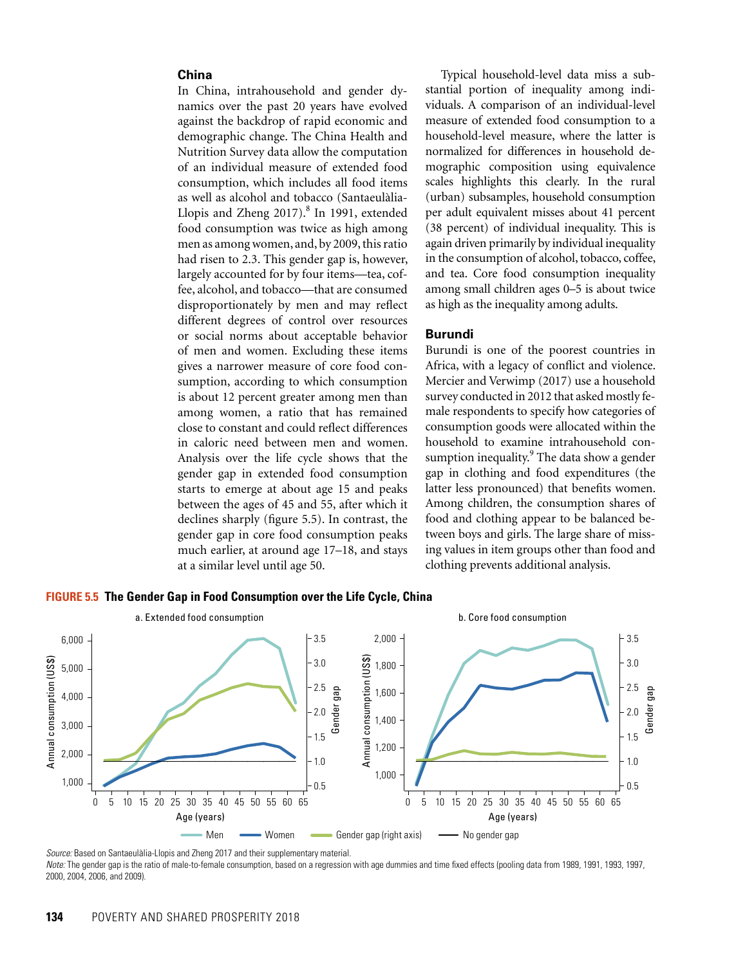#### **China**

In China, intrahousehold and gender dynamics over the past 20 years have evolved against the backdrop of rapid economic and demographic change. The China Health and Nutrition Survey data allow the computation of an individual measure of extended food consumption, which includes all food items as well as alcohol and tobacco (Santaeulàlia-Llopis and Zheng 2017).<sup>8</sup> In 1991, extended food consumption was twice as high among men as among women, and, by 2009, this ratio had risen to 2.3. This gender gap is, however, largely accounted for by four items—tea, coffee, alcohol, and tobacco—that are consumed disproportionately by men and may reflect different degrees of control over resources or social norms about acceptable behavior of men and women. Excluding these items gives a narrower measure of core food consumption, according to which consumption is about 12 percent greater among men than among women, a ratio that has remained close to constant and could reflect differences in caloric need between men and women. Analysis over the life cycle shows that the gender gap in extended food consumption starts to emerge at about age 15 and peaks between the ages of 45 and 55, after which it declines sharply (figure 5.5). In contrast, the gender gap in core food consumption peaks much earlier, at around age 17–18, and stays at a similar level until age 50.

Typical household-level data miss a substantial portion of inequality among individuals. A comparison of an individual-level measure of extended food consumption to a household-level measure, where the latter is normalized for differences in household demographic composition using equivalence scales highlights this clearly. In the rural (urban) subsamples, household consumption per adult equivalent misses about 41 percent (38 percent) of individual inequality. This is again driven primarily by individual inequality in the consumption of alcohol, tobacco, coffee, and tea. Core food consumption inequality among small children ages 0–5 is about twice as high as the inequality among adults.

#### **Burundi**

Burundi is one of the poorest countries in Africa, with a legacy of conflict and violence. Mercier and Verwimp (2017) use a household survey conducted in 2012 that asked mostly female respondents to specify how categories of consumption goods were allocated within the household to examine intrahousehold consumption inequality.<sup>9</sup> The data show a gender gap in clothing and food expenditures (the latter less pronounced) that benefits women. Among children, the consumption shares of food and clothing appear to be balanced between boys and girls. The large share of missing values in item groups other than food and clothing prevents additional analysis.

#### **FIGURE 5.5 The Gender Gap in Food Consumption over the Life Cycle, China**



*Source:* Based on Santaeulàlia-Llopis and Zheng 2017 and their supplementary material.

*Note:* The gender gap is the ratio of male-to-female consumption, based on a regression with age dummies and time fixed effects (pooling data from 1989, 1991, 1993, 1997, 2000, 2004, 2006, and 2009).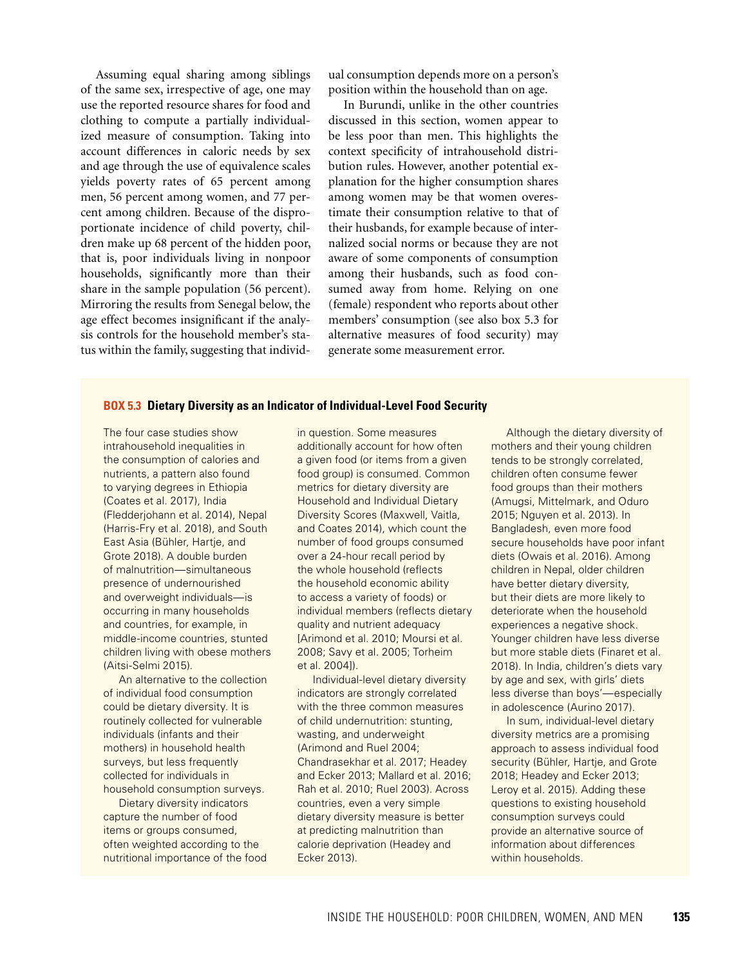Assuming equal sharing among siblings of the same sex, irrespective of age, one may use the reported resource shares for food and clothing to compute a partially individualized measure of consumption. Taking into account differences in caloric needs by sex and age through the use of equivalence scales yields poverty rates of 65 percent among men, 56 percent among women, and 77 percent among children. Because of the disproportionate incidence of child poverty, children make up 68 percent of the hidden poor, that is, poor individuals living in nonpoor households, significantly more than their share in the sample population (56 percent). Mirroring the results from Senegal below, the age effect becomes insignificant if the analysis controls for the household member's status within the family, suggesting that individual consumption depends more on a person's position within the household than on age.

In Burundi, unlike in the other countries discussed in this section, women appear to be less poor than men. This highlights the context specificity of intrahousehold distribution rules. However, another potential explanation for the higher consumption shares among women may be that women overestimate their consumption relative to that of their husbands, for example because of internalized social norms or because they are not aware of some components of consumption among their husbands, such as food consumed away from home. Relying on one (female) respondent who reports about other members' consumption (see also box 5.3 for alternative measures of food security) may generate some measurement error.

#### **BOX 5.3 Dietary Diversity as an Indicator of Individual-Level Food Security**

The four case studies show intrahousehold inequalities in the consumption of calories and nutrients, a pattern also found to varying degrees in Ethiopia (Coates et al. 2017), India (Fledderjohann et al. 2014), Nepal (Harris-Fry et al. 2018), and South East Asia (Bühler, Hartje, and Grote 2018). A double burden of malnutrition—simultaneous presence of undernourished and overweight individuals—is occurring in many households and countries, for example, in middle-income countries, stunted children living with obese mothers (Aitsi-Selmi 2015).

An alternative to the collection of individual food consumption could be dietary diversity. It is routinely collected for vulnerable individuals (infants and their mothers) in household health surveys, but less frequently collected for individuals in household consumption surveys.

Dietary diversity indicators capture the number of food items or groups consumed, often weighted according to the nutritional importance of the food in question. Some measures additionally account for how often a given food (or items from a given food group) is consumed. Common metrics for dietary diversity are Household and Individual Dietary Diversity Scores (Maxwell, Vaitla, and Coates 2014), which count the number of food groups consumed over a 24-hour recall period by the whole household (reflects the household economic ability to access a variety of foods) or individual members (reflects dietary quality and nutrient adequacy [Arimond et al. 2010; Moursi et al. 2008; Savy et al. 2005; Torheim et al. 2004]).

Individual-level dietary diversity indicators are strongly correlated with the three common measures of child undernutrition: stunting, wasting, and underweight (Arimond and Ruel 2004; Chandrasekhar et al. 2017; Headey and Ecker 2013; Mallard et al. 2016; Rah et al. 2010; Ruel 2003). Across countries, even a very simple dietary diversity measure is better at predicting malnutrition than calorie deprivation (Headey and Ecker 2013).

Although the dietary diversity of mothers and their young children tends to be strongly correlated, children often consume fewer food groups than their mothers (Amugsi, Mittelmark, and Oduro 2015; Nguyen et al. 2013). In Bangladesh, even more food secure households have poor infant diets (Owais et al. 2016). Among children in Nepal, older children have better dietary diversity, but their diets are more likely to deteriorate when the household experiences a negative shock. Younger children have less diverse but more stable diets (Finaret et al. 2018). In India, children's diets vary by age and sex, with girls' diets less diverse than boys'—especially in adolescence (Aurino 2017).

In sum, individual-level dietary diversity metrics are a promising approach to assess individual food security (Bühler, Hartje, and Grote 2018; Headey and Ecker 2013; Leroy et al. 2015). Adding these questions to existing household consumption surveys could provide an alternative source of information about differences within households.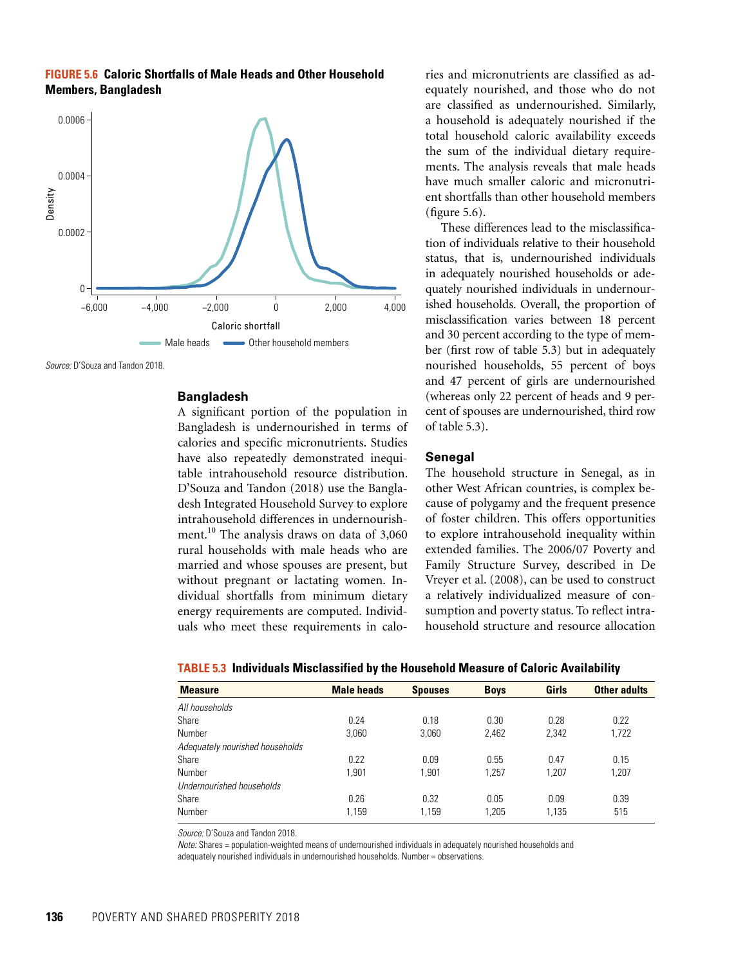**FIGURE 5.6 Caloric Shortfalls of Male Heads and Other Household Members, Bangladesh**



*Source:* D'Souza and Tandon 2018.

#### **Bangladesh**

A significant portion of the population in Bangladesh is undernourished in terms of calories and specific micronutrients. Studies have also repeatedly demonstrated inequitable intrahousehold resource distribution. D'Souza and Tandon (2018) use the Bangladesh Integrated Household Survey to explore intrahousehold differences in undernourishment.<sup>10</sup> The analysis draws on data of 3,060 rural households with male heads who are married and whose spouses are present, but without pregnant or lactating women. Individual shortfalls from minimum dietary energy requirements are computed. Individuals who meet these requirements in calories and micronutrients are classified as adequately nourished, and those who do not are classified as undernourished. Similarly, a household is adequately nourished if the total household caloric availability exceeds the sum of the individual dietary requirements. The analysis reveals that male heads have much smaller caloric and micronutrient shortfalls than other household members (figure 5.6).

These differences lead to the misclassification of individuals relative to their household status, that is, undernourished individuals in adequately nourished households or adequately nourished individuals in undernourished households. Overall, the proportion of misclassification varies between 18 percent and 30 percent according to the type of member (first row of table 5.3) but in adequately nourished households, 55 percent of boys and 47 percent of girls are undernourished (whereas only 22 percent of heads and 9 percent of spouses are undernourished, third row of table 5.3).

#### **Senegal**

The household structure in Senegal, as in other West African countries, is complex because of polygamy and the frequent presence of foster children. This offers opportunities to explore intrahousehold inequality within extended families. The 2006/07 Poverty and Family Structure Survey, described in De Vreyer et al. (2008), can be used to construct a relatively individualized measure of consumption and poverty status. To reflect intrahousehold structure and resource allocation

| <b>Measure</b>                  | <b>Male heads</b> | <b>Spouses</b> | <b>Boys</b> | Girls | Other adults |
|---------------------------------|-------------------|----------------|-------------|-------|--------------|
| All households                  |                   |                |             |       |              |
| Share                           | 0.24              | 0.18           | 0.30        | 0.28  | 0.22         |
| Number                          | 3,060             | 3,060          | 2,462       | 2,342 | 1,722        |
| Adequately nourished households |                   |                |             |       |              |
| Share                           | 0.22              | 0.09           | 0.55        | 0.47  | 0.15         |
| Number                          | 1.901             | 1.901          | 1.257       | 1.207 | 1,207        |
| Undernourished households       |                   |                |             |       |              |
| Share                           | 0.26              | 0.32           | 0.05        | 0.09  | 0.39         |
| Number                          | 1,159             | 1,159          | 1.205       | 1,135 | 515          |

*Source:* D'Souza and Tandon 2018.

*Note:* Shares = population-weighted means of undernourished individuals in adequately nourished households and adequately nourished individuals in undernourished households. Number = observations.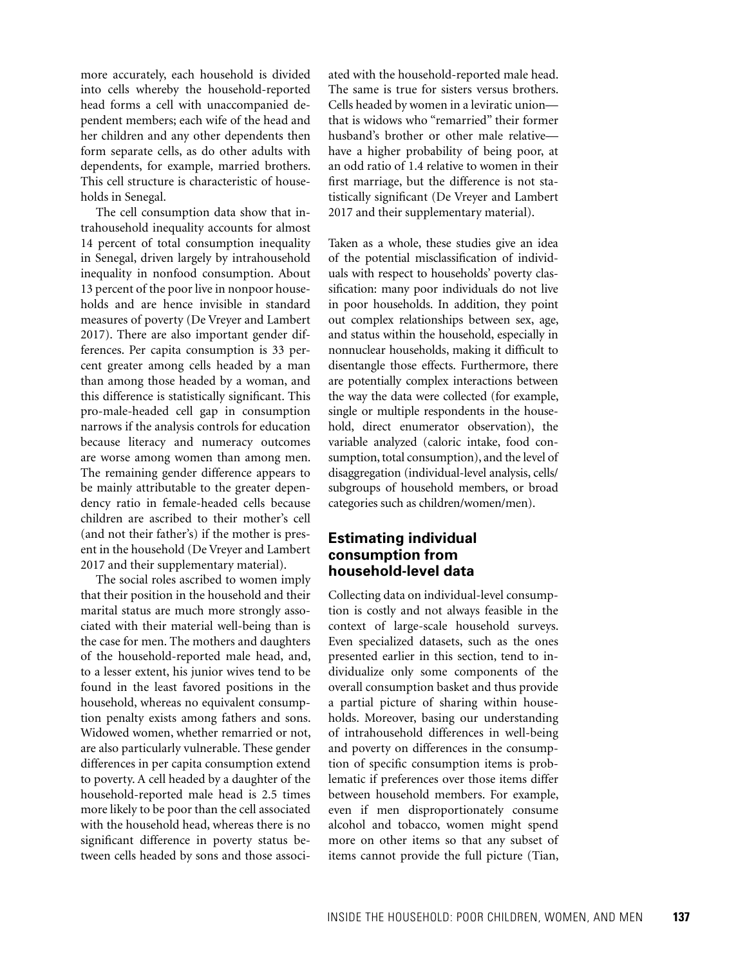more accurately, each household is divided into cells whereby the household-reported head forms a cell with unaccompanied dependent members; each wife of the head and her children and any other dependents then form separate cells, as do other adults with dependents, for example, married brothers. This cell structure is characteristic of households in Senegal.

The cell consumption data show that intrahousehold inequality accounts for almost 14 percent of total consumption inequality in Senegal, driven largely by intrahousehold inequality in nonfood consumption. About 13 percent of the poor live in nonpoor households and are hence invisible in standard measures of poverty (De Vreyer and Lambert 2017). There are also important gender differences. Per capita consumption is 33 percent greater among cells headed by a man than among those headed by a woman, and this difference is statistically significant. This pro-male-headed cell gap in consumption narrows if the analysis controls for education because literacy and numeracy outcomes are worse among women than among men. The remaining gender difference appears to be mainly attributable to the greater dependency ratio in female-headed cells because children are ascribed to their mother's cell (and not their father's) if the mother is present in the household (De Vreyer and Lambert 2017 and their supplementary material).

The social roles ascribed to women imply that their position in the household and their marital status are much more strongly associated with their material well-being than is the case for men. The mothers and daughters of the household-reported male head, and, to a lesser extent, his junior wives tend to be found in the least favored positions in the household, whereas no equivalent consumption penalty exists among fathers and sons. Widowed women, whether remarried or not, are also particularly vulnerable. These gender differences in per capita consumption extend to poverty. A cell headed by a daughter of the household-reported male head is 2.5 times more likely to be poor than the cell associated with the household head, whereas there is no significant difference in poverty status between cells headed by sons and those associ-

ated with the household-reported male head. The same is true for sisters versus brothers. Cells headed by women in a leviratic union that is widows who "remarried" their former husband's brother or other male relative have a higher probability of being poor, at an odd ratio of 1.4 relative to women in their first marriage, but the difference is not statistically significant (De Vreyer and Lambert 2017 and their supplementary material).

Taken as a whole, these studies give an idea of the potential misclassification of individuals with respect to households' poverty classification: many poor individuals do not live in poor households. In addition, they point out complex relationships between sex, age, and status within the household, especially in nonnuclear households, making it difficult to disentangle those effects. Furthermore, there are potentially complex interactions between the way the data were collected (for example, single or multiple respondents in the household, direct enumerator observation), the variable analyzed (caloric intake, food consumption, total consumption), and the level of disaggregation (individual-level analysis, cells/ subgroups of household members, or broad categories such as children/women/men).

## **Estimating individual consumption from household-level data**

Collecting data on individual-level consumption is costly and not always feasible in the context of large-scale household surveys. Even specialized datasets, such as the ones presented earlier in this section, tend to individualize only some components of the overall consumption basket and thus provide a partial picture of sharing within households. Moreover, basing our understanding of intrahousehold differences in well-being and poverty on differences in the consumption of specific consumption items is problematic if preferences over those items differ between household members. For example, even if men disproportionately consume alcohol and tobacco, women might spend more on other items so that any subset of items cannot provide the full picture (Tian,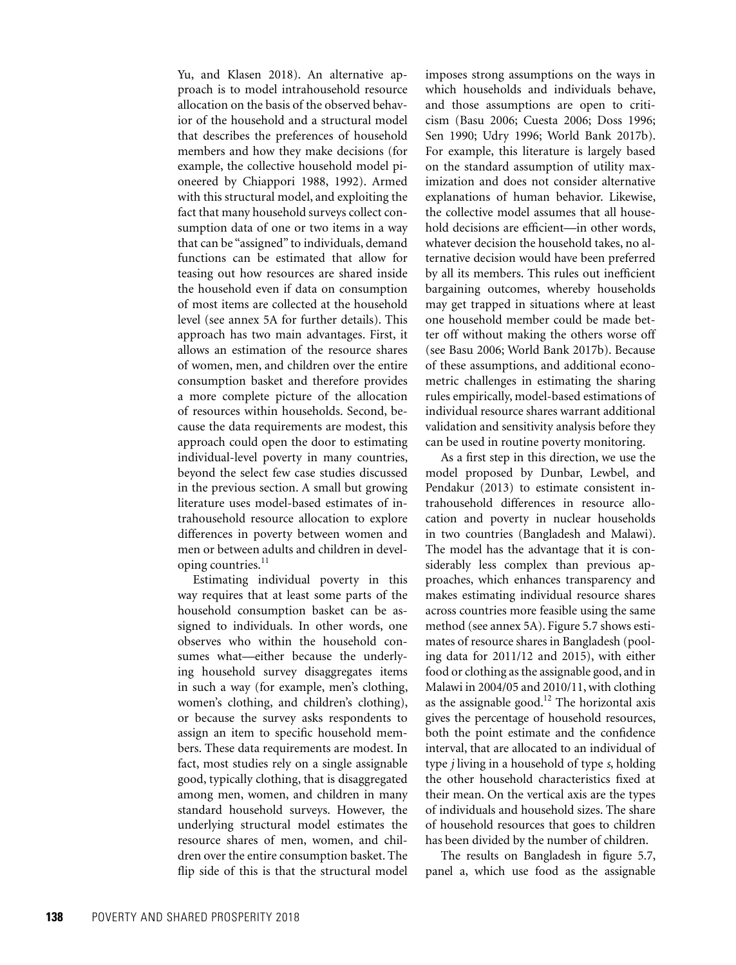Yu, and Klasen 2018). An alternative approach is to model intrahousehold resource allocation on the basis of the observed behavior of the household and a structural model that describes the preferences of household members and how they make decisions (for example, the collective household model pioneered by Chiappori 1988, 1992). Armed with this structural model, and exploiting the fact that many household surveys collect consumption data of one or two items in a way that can be "assigned" to individuals, demand functions can be estimated that allow for teasing out how resources are shared inside the household even if data on consumption of most items are collected at the household level (see annex 5A for further details). This approach has two main advantages. First, it allows an estimation of the resource shares of women, men, and children over the entire consumption basket and therefore provides a more complete picture of the allocation of resources within households. Second, because the data requirements are modest, this approach could open the door to estimating individual-level poverty in many countries, beyond the select few case studies discussed in the previous section. A small but growing literature uses model-based estimates of intrahousehold resource allocation to explore differences in poverty between women and men or between adults and children in developing countries. $11$ 

Estimating individual poverty in this way requires that at least some parts of the household consumption basket can be assigned to individuals. In other words, one observes who within the household consumes what—either because the underlying household survey disaggregates items in such a way (for example, men's clothing, women's clothing, and children's clothing), or because the survey asks respondents to assign an item to specific household members. These data requirements are modest. In fact, most studies rely on a single assignable good, typically clothing, that is disaggregated among men, women, and children in many standard household surveys. However, the underlying structural model estimates the resource shares of men, women, and children over the entire consumption basket. The flip side of this is that the structural model

imposes strong assumptions on the ways in which households and individuals behave, and those assumptions are open to criticism (Basu 2006; Cuesta 2006; Doss 1996; Sen 1990; Udry 1996; World Bank 2017b). For example, this literature is largely based on the standard assumption of utility maximization and does not consider alternative explanations of human behavior. Likewise, the collective model assumes that all household decisions are efficient—in other words, whatever decision the household takes, no alternative decision would have been preferred by all its members. This rules out inefficient bargaining outcomes, whereby households may get trapped in situations where at least one household member could be made better off without making the others worse off (see Basu 2006; World Bank 2017b). Because of these assumptions, and additional econometric challenges in estimating the sharing rules empirically, model-based estimations of individual resource shares warrant additional validation and sensitivity analysis before they can be used in routine poverty monitoring.

As a first step in this direction, we use the model proposed by Dunbar, Lewbel, and Pendakur (2013) to estimate consistent intrahousehold differences in resource allocation and poverty in nuclear households in two countries (Bangladesh and Malawi). The model has the advantage that it is considerably less complex than previous approaches, which enhances transparency and makes estimating individual resource shares across countries more feasible using the same method (see annex 5A). Figure 5.7 shows estimates of resource shares in Bangladesh (pooling data for 2011/12 and 2015), with either food or clothing as the assignable good, and in Malawi in 2004/05 and 2010/11, with clothing as the assignable good.<sup>12</sup> The horizontal axis gives the percentage of household resources, both the point estimate and the confidence interval, that are allocated to an individual of type *j* living in a household of type *s*, holding the other household characteristics fixed at their mean. On the vertical axis are the types of individuals and household sizes. The share of household resources that goes to children has been divided by the number of children.

The results on Bangladesh in figure 5.7, panel a, which use food as the assignable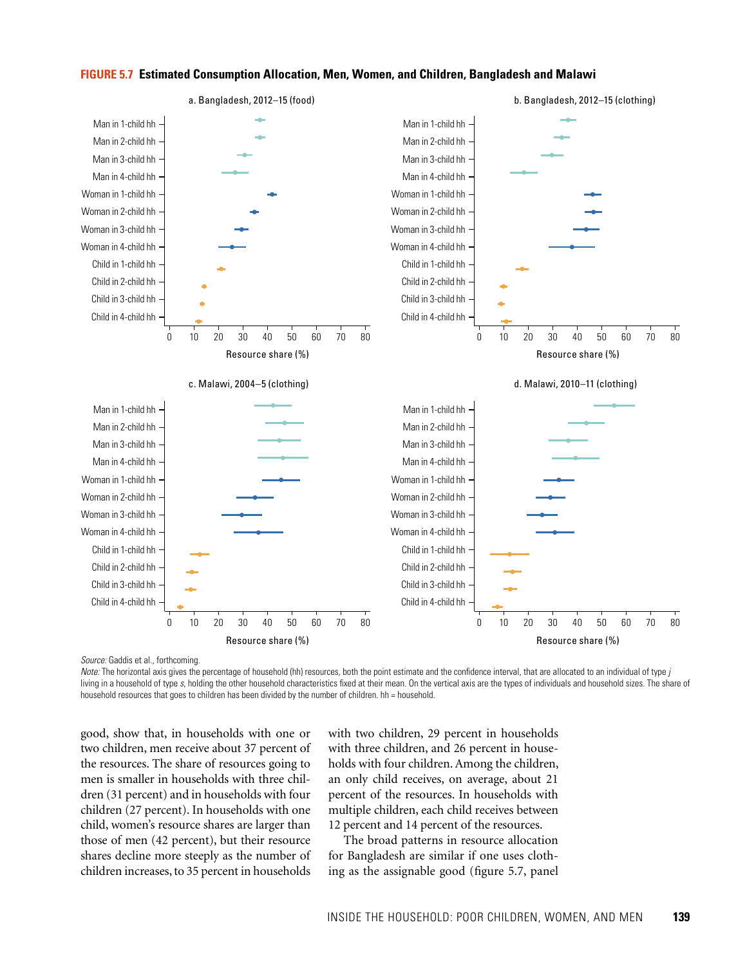

#### **FIGURE 5.7 Estimated Consumption Allocation, Men, Women, and Children, Bangladesh and Malawi**

*Source:* Gaddis et al., forthcoming.

*Note:* The horizontal axis gives the percentage of household (hh) resources, both the point estimate and the confidence interval, that are allocated to an individual of type *j* living in a household of type *s*, holding the other household characteristics fixed at their mean. On the vertical axis are the types of individuals and household sizes. The share of household resources that goes to children has been divided by the number of children. hh = household.

good, show that, in households with one or two children, men receive about 37 percent of the resources. The share of resources going to men is smaller in households with three children (31 percent) and in households with four children (27 percent). In households with one child, women's resource shares are larger than those of men (42 percent), but their resource shares decline more steeply as the number of children increases, to 35 percent in households with two children, 29 percent in households with three children, and 26 percent in households with four children. Among the children, an only child receives, on average, about 21 percent of the resources. In households with multiple children, each child receives between 12 percent and 14 percent of the resources.

The broad patterns in resource allocation for Bangladesh are similar if one uses clothing as the assignable good (figure 5.7, panel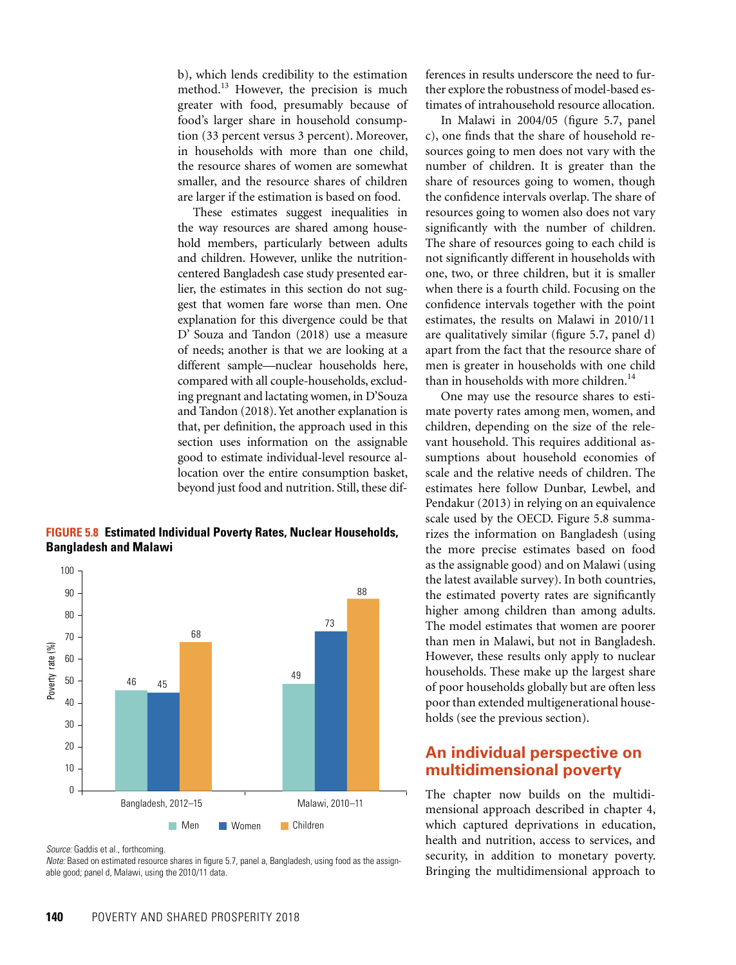b), which lends credibility to the estimation method.<sup>13</sup> However, the precision is much greater with food, presumably because of food's larger share in household consumption (33 percent versus 3 percent). Moreover, in households with more than one child, the resource shares of women are somewhat smaller, and the resource shares of children are larger if the estimation is based on food.

These estimates suggest inequalities in the way resources are shared among household members, particularly between adults and children. However, unlike the nutritioncentered Bangladesh case study presented earlier, the estimates in this section do not suggest that women fare worse than men. One explanation for this divergence could be that D' Souza and Tandon (2018) use a measure of needs; another is that we are looking at a different sample—nuclear households here, compared with all couple-households, excluding pregnant and lactating women, in D'Souza and Tandon (2018). Yet another explanation is that, per definition, the approach used in this section uses information on the assignable good to estimate individual-level resource allocation over the entire consumption basket, beyond just food and nutrition. Still, these dif-

**FIGURE 5.8 Estimated Individual Poverty Rates, Nuclear Households, Bangladesh and Malawi**



*Source:* Gaddis et al., forthcoming.

*Note:* Based on estimated resource shares in figure 5.7, panel a, Bangladesh, using food as the assignable good; panel d, Malawi, using the 2010/11 data.

ferences in results underscore the need to further explore the robustness of model-based estimates of intrahousehold resource allocation.

In Malawi in 2004/05 (figure 5.7, panel c), one finds that the share of household resources going to men does not vary with the number of children. It is greater than the share of resources going to women, though the confidence intervals overlap. The share of resources going to women also does not vary significantly with the number of children. The share of resources going to each child is not significantly different in households with one, two, or three children, but it is smaller when there is a fourth child. Focusing on the confidence intervals together with the point estimates, the results on Malawi in 2010/11 are qualitatively similar (figure 5.7, panel d) apart from the fact that the resource share of men is greater in households with one child than in households with more children.<sup>14</sup>

One may use the resource shares to estimate poverty rates among men, women, and children, depending on the size of the relevant household. This requires additional assumptions about household economies of scale and the relative needs of children. The estimates here follow Dunbar, Lewbel, and Pendakur (2013) in relying on an equivalence scale used by the OECD. Figure 5.8 summarizes the information on Bangladesh (using the more precise estimates based on food as the assignable good) and on Malawi (using the latest available survey). In both countries, the estimated poverty rates are significantly higher among children than among adults. The model estimates that women are poorer than men in Malawi, but not in Bangladesh. However, these results only apply to nuclear households. These make up the largest share of poor households globally but are often less poor than extended multigenerational households (see the previous section).

## **An individual perspective on multidimensional poverty**

The chapter now builds on the multidimensional approach described in chapter 4, which captured deprivations in education, health and nutrition, access to services, and security, in addition to monetary poverty. Bringing the multidimensional approach to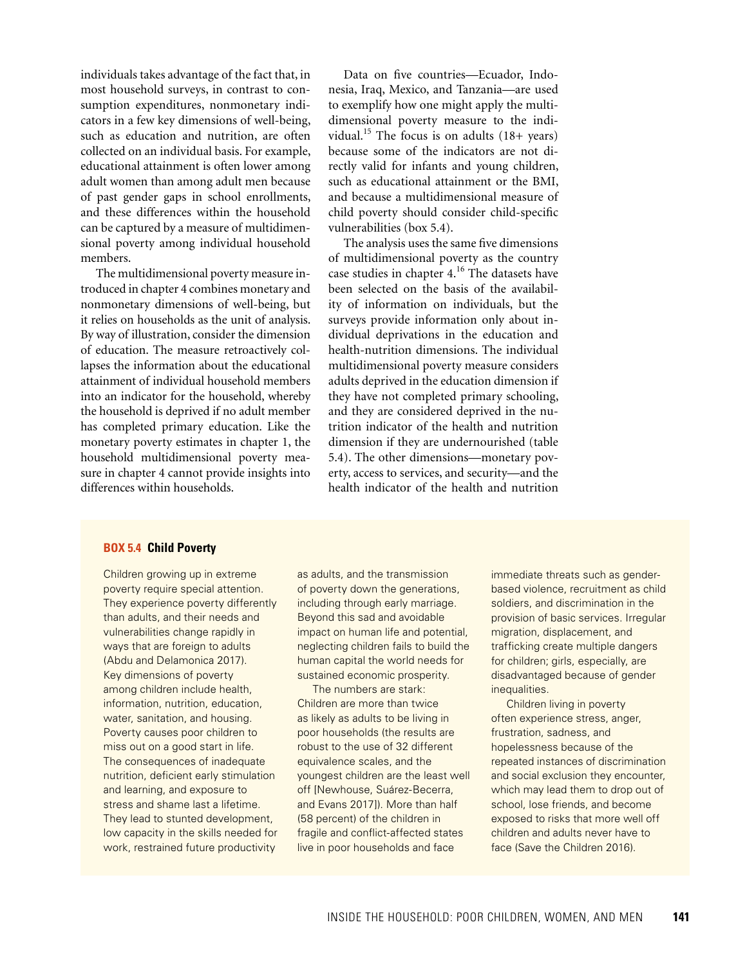individuals takes advantage of the fact that, in most household surveys, in contrast to consumption expenditures, nonmonetary indicators in a few key dimensions of well-being, such as education and nutrition, are often collected on an individual basis. For example, educational attainment is often lower among adult women than among adult men because of past gender gaps in school enrollments, and these differences within the household can be captured by a measure of multidimensional poverty among individual household members.

The multidimensional poverty measure introduced in chapter 4 combines monetary and nonmonetary dimensions of well-being, but it relies on households as the unit of analysis. By way of illustration, consider the dimension of education. The measure retroactively collapses the information about the educational attainment of individual household members into an indicator for the household, whereby the household is deprived if no adult member has completed primary education. Like the monetary poverty estimates in chapter 1, the household multidimensional poverty measure in chapter 4 cannot provide insights into differences within households.

Data on five countries—Ecuador, Indonesia, Iraq, Mexico, and Tanzania—are used to exemplify how one might apply the multidimensional poverty measure to the individual.<sup>15</sup> The focus is on adults  $(18 + \text{years})$ because some of the indicators are not directly valid for infants and young children, such as educational attainment or the BMI, and because a multidimensional measure of child poverty should consider child-specific vulnerabilities (box 5.4).

The analysis uses the same five dimensions of multidimensional poverty as the country case studies in chapter 4.16 The datasets have been selected on the basis of the availability of information on individuals, but the surveys provide information only about individual deprivations in the education and health-nutrition dimensions. The individual multidimensional poverty measure considers adults deprived in the education dimension if they have not completed primary schooling, and they are considered deprived in the nutrition indicator of the health and nutrition dimension if they are undernourished (table 5.4). The other dimensions—monetary poverty, access to services, and security—and the health indicator of the health and nutrition

#### **BOX 5.4 Child Poverty**

Children growing up in extreme poverty require special attention. They experience poverty differently than adults, and their needs and vulnerabilities change rapidly in ways that are foreign to adults (Abdu and Delamonica 2017). Key dimensions of poverty among children include health, information, nutrition, education, water, sanitation, and housing. Poverty causes poor children to miss out on a good start in life. The consequences of inadequate nutrition, deficient early stimulation and learning, and exposure to stress and shame last a lifetime. They lead to stunted development, low capacity in the skills needed for work, restrained future productivity

as adults, and the transmission of poverty down the generations, including through early marriage. Beyond this sad and avoidable impact on human life and potential, neglecting children fails to build the human capital the world needs for sustained economic prosperity.

The numbers are stark: Children are more than twice as likely as adults to be living in poor households (the results are robust to the use of 32 different equivalence scales, and the youngest children are the least well off [Newhouse, Suárez-Becerra, and Evans 2017]). More than half (58 percent) of the children in fragile and conflict-affected states live in poor households and face

immediate threats such as genderbased violence, recruitment as child soldiers, and discrimination in the provision of basic services. Irregular migration, displacement, and trafficking create multiple dangers for children; girls, especially, are disadvantaged because of gender inequalities.

Children living in poverty often experience stress, anger, frustration, sadness, and hopelessness because of the repeated instances of discrimination and social exclusion they encounter, which may lead them to drop out of school, lose friends, and become exposed to risks that more well off children and adults never have to face (Save the Children 2016).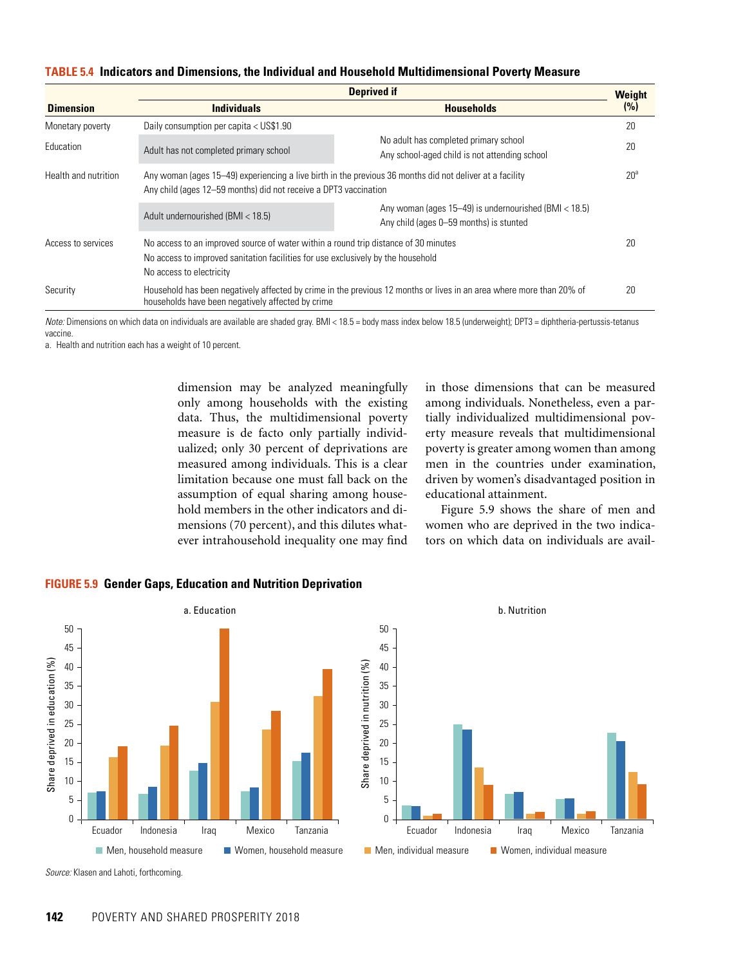| <b>TABLE 5.4 Indicators and Dimensions, the Individual and Household Multidimensional Poverty Measure</b> |  |  |  |
|-----------------------------------------------------------------------------------------------------------|--|--|--|
|-----------------------------------------------------------------------------------------------------------|--|--|--|

|                      | <b>Deprived if</b>                                                                                                                                                                                  |                                                                                                                      |                 |
|----------------------|-----------------------------------------------------------------------------------------------------------------------------------------------------------------------------------------------------|----------------------------------------------------------------------------------------------------------------------|-----------------|
| <b>Dimension</b>     | <b>Individuals</b>                                                                                                                                                                                  | <b>Households</b>                                                                                                    | (%)             |
| Monetary poverty     | Daily consumption per capita < US\$1.90                                                                                                                                                             |                                                                                                                      | 20              |
| Education            | Adult has not completed primary school                                                                                                                                                              | No adult has completed primary school<br>Any school-aged child is not attending school                               | 20              |
| Health and nutrition | Any woman (ages 15-49) experiencing a live birth in the previous 36 months did not deliver at a facility<br>Any child (ages 12–59 months) did not receive a DPT3 vaccination                        |                                                                                                                      | 20 <sup>a</sup> |
|                      | Adult undernourished (BMI < 18.5)                                                                                                                                                                   | Any woman (ages 15–49) is undernourished (BMI < 18.5)<br>Any child (ages 0-59 months) is stunted                     |                 |
| Access to services   | No access to an improved source of water within a round trip distance of 30 minutes<br>No access to improved sanitation facilities for use exclusively by the household<br>No access to electricity |                                                                                                                      | 20              |
| Security             | households have been negatively affected by crime                                                                                                                                                   | Household has been negatively affected by crime in the previous 12 months or lives in an area where more than 20% of | 20              |

*Note:* Dimensions on which data on individuals are available are shaded gray. BMI < 18.5 = body mass index below 18.5 (underweight); DPT3 = diphtheria-pertussis-tetanus vaccine.

a. Health and nutrition each has a weight of 10 percent.

dimension may be analyzed meaningfully only among households with the existing data. Thus, the multidimensional poverty measure is de facto only partially individualized; only 30 percent of deprivations are measured among individuals. This is a clear limitation because one must fall back on the assumption of equal sharing among household members in the other indicators and dimensions (70 percent), and this dilutes whatever intrahousehold inequality one may find

in those dimensions that can be measured among individuals. Nonetheless, even a partially individualized multidimensional poverty measure reveals that multidimensional poverty is greater among women than among men in the countries under examination, driven by women's disadvantaged position in educational attainment.

Figure 5.9 shows the share of men and women who are deprived in the two indicators on which data on individuals are avail-



**FIGURE 5.9 Gender Gaps, Education and Nutrition Deprivation**

*Source:* Klasen and Lahoti, forthcoming.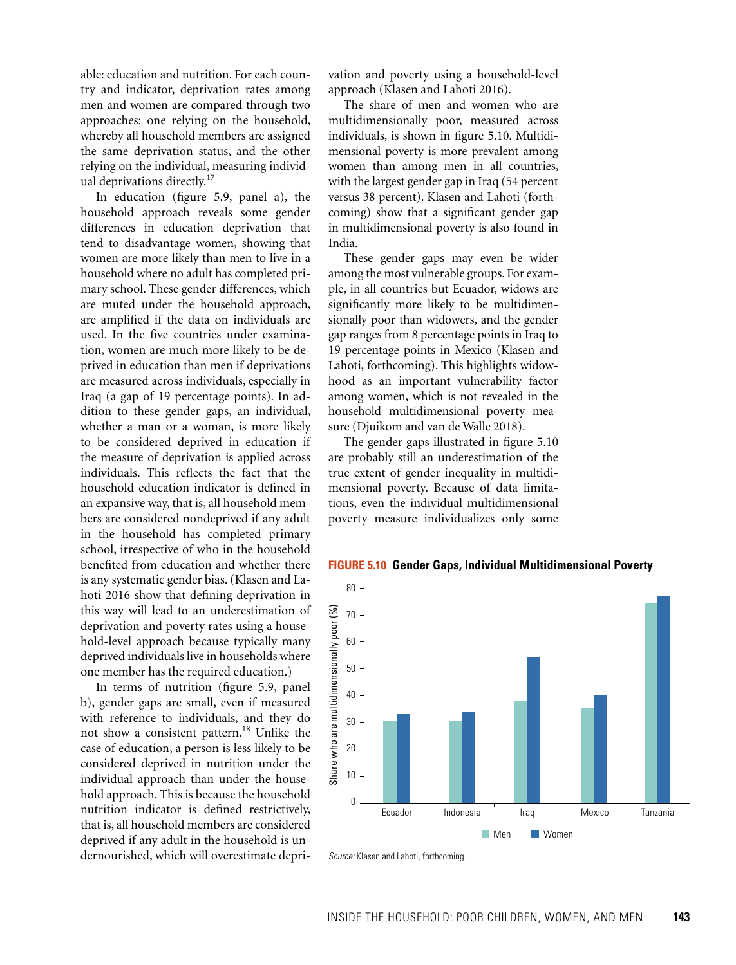able: education and nutrition. For each country and indicator, deprivation rates among men and women are compared through two approaches: one relying on the household, whereby all household members are assigned the same deprivation status, and the other relying on the individual, measuring individual deprivations directly.<sup>17</sup>

In education (figure 5.9, panel a), the household approach reveals some gender differences in education deprivation that tend to disadvantage women, showing that women are more likely than men to live in a household where no adult has completed primary school. These gender differences, which are muted under the household approach, are amplified if the data on individuals are used. In the five countries under examination, women are much more likely to be deprived in education than men if deprivations are measured across individuals, especially in Iraq (a gap of 19 percentage points). In addition to these gender gaps, an individual, whether a man or a woman, is more likely to be considered deprived in education if the measure of deprivation is applied across individuals. This reflects the fact that the household education indicator is defined in an expansive way, that is, all household members are considered nondeprived if any adult in the household has completed primary school, irrespective of who in the household benefited from education and whether there is any systematic gender bias. (Klasen and Lahoti 2016 show that defining deprivation in this way will lead to an underestimation of deprivation and poverty rates using a household-level approach because typically many deprived individuals live in households where one member has the required education.)

In terms of nutrition (figure 5.9, panel b), gender gaps are small, even if measured with reference to individuals, and they do not show a consistent pattern.<sup>18</sup> Unlike the case of education, a person is less likely to be considered deprived in nutrition under the individual approach than under the household approach. This is because the household nutrition indicator is defined restrictively, that is, all household members are considered deprived if any adult in the household is undernourished, which will overestimate deprivation and poverty using a household-level approach (Klasen and Lahoti 2016).

The share of men and women who are multidimensionally poor, measured across individuals, is shown in figure 5.10. Multidimensional poverty is more prevalent among women than among men in all countries, with the largest gender gap in Iraq (54 percent versus 38 percent). Klasen and Lahoti (forthcoming) show that a significant gender gap in multidimensional poverty is also found in India.

These gender gaps may even be wider among the most vulnerable groups. For example, in all countries but Ecuador, widows are significantly more likely to be multidimensionally poor than widowers, and the gender gap ranges from 8 percentage points in Iraq to 19 percentage points in Mexico (Klasen and Lahoti, forthcoming). This highlights widowhood as an important vulnerability factor among women, which is not revealed in the household multidimensional poverty measure (Djuikom and van de Walle 2018).

The gender gaps illustrated in figure 5.10 are probably still an underestimation of the true extent of gender inequality in multidimensional poverty. Because of data limitations, even the individual multidimensional poverty measure individualizes only some



#### **FIGURE 5.10 Gender Gaps, Individual Multidimensional Poverty**

*Source:* Klasen and Lahoti, forthcoming.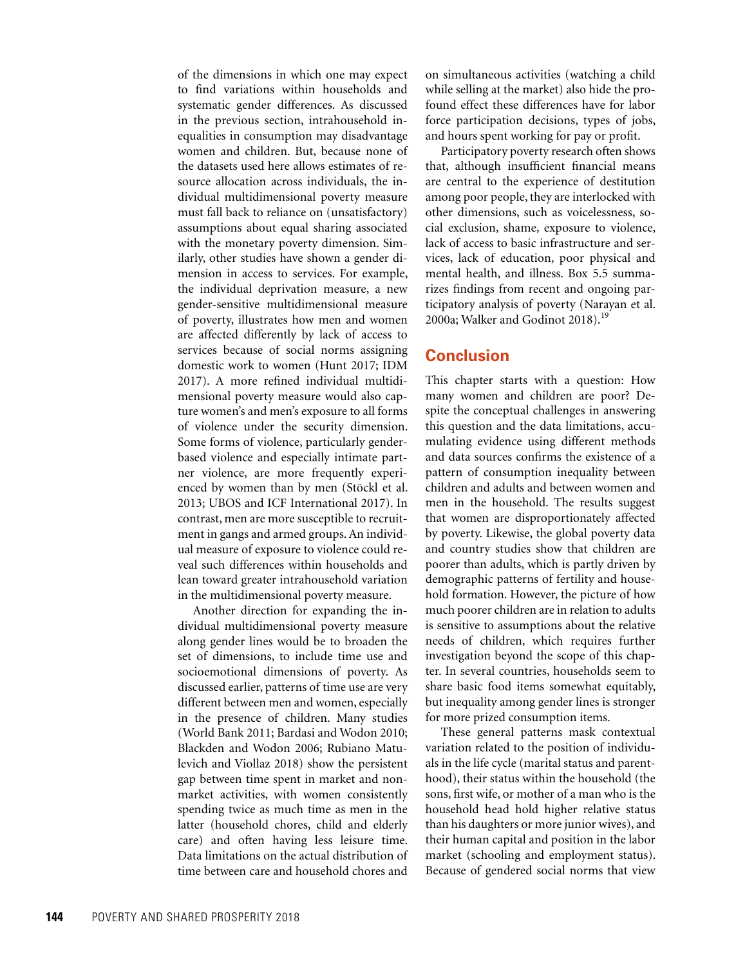of the dimensions in which one may expect to find variations within households and systematic gender differences. As discussed in the previous section, intrahousehold inequalities in consumption may disadvantage women and children. But, because none of the datasets used here allows estimates of resource allocation across individuals, the individual multidimensional poverty measure must fall back to reliance on (unsatisfactory) assumptions about equal sharing associated with the monetary poverty dimension. Similarly, other studies have shown a gender dimension in access to services. For example, the individual deprivation measure, a new gender-sensitive multidimensional measure of poverty, illustrates how men and women are affected differently by lack of access to services because of social norms assigning domestic work to women (Hunt 2017; IDM 2017). A more refined individual multidimensional poverty measure would also capture women's and men's exposure to all forms of violence under the security dimension. Some forms of violence, particularly genderbased violence and especially intimate partner violence, are more frequently experienced by women than by men (Stöckl et al. 2013; UBOS and ICF International 2017). In contrast, men are more susceptible to recruitment in gangs and armed groups. An individual measure of exposure to violence could reveal such differences within households and lean toward greater intrahousehold variation in the multidimensional poverty measure.

Another direction for expanding the individual multidimensional poverty measure along gender lines would be to broaden the set of dimensions, to include time use and socioemotional dimensions of poverty. As discussed earlier, patterns of time use are very different between men and women, especially in the presence of children. Many studies (World Bank 2011; Bardasi and Wodon 2010; Blackden and Wodon 2006; Rubiano Matulevich and Viollaz 2018) show the persistent gap between time spent in market and nonmarket activities, with women consistently spending twice as much time as men in the latter (household chores, child and elderly care) and often having less leisure time. Data limitations on the actual distribution of time between care and household chores and

on simultaneous activities (watching a child while selling at the market) also hide the profound effect these differences have for labor force participation decisions, types of jobs, and hours spent working for pay or profit.

Participatory poverty research often shows that, although insufficient financial means are central to the experience of destitution among poor people, they are interlocked with other dimensions, such as voicelessness, social exclusion, shame, exposure to violence, lack of access to basic infrastructure and services, lack of education, poor physical and mental health, and illness. Box 5.5 summarizes findings from recent and ongoing participatory analysis of poverty (Narayan et al. 2000a; Walker and Godinot 2018).<sup>19</sup>

## **Conclusion**

This chapter starts with a question: How many women and children are poor? Despite the conceptual challenges in answering this question and the data limitations, accumulating evidence using different methods and data sources confirms the existence of a pattern of consumption inequality between children and adults and between women and men in the household. The results suggest that women are disproportionately affected by poverty. Likewise, the global poverty data and country studies show that children are poorer than adults, which is partly driven by demographic patterns of fertility and household formation. However, the picture of how much poorer children are in relation to adults is sensitive to assumptions about the relative needs of children, which requires further investigation beyond the scope of this chapter. In several countries, households seem to share basic food items somewhat equitably, but inequality among gender lines is stronger for more prized consumption items.

These general patterns mask contextual variation related to the position of individuals in the life cycle (marital status and parenthood), their status within the household (the sons, first wife, or mother of a man who is the household head hold higher relative status than his daughters or more junior wives), and their human capital and position in the labor market (schooling and employment status). Because of gendered social norms that view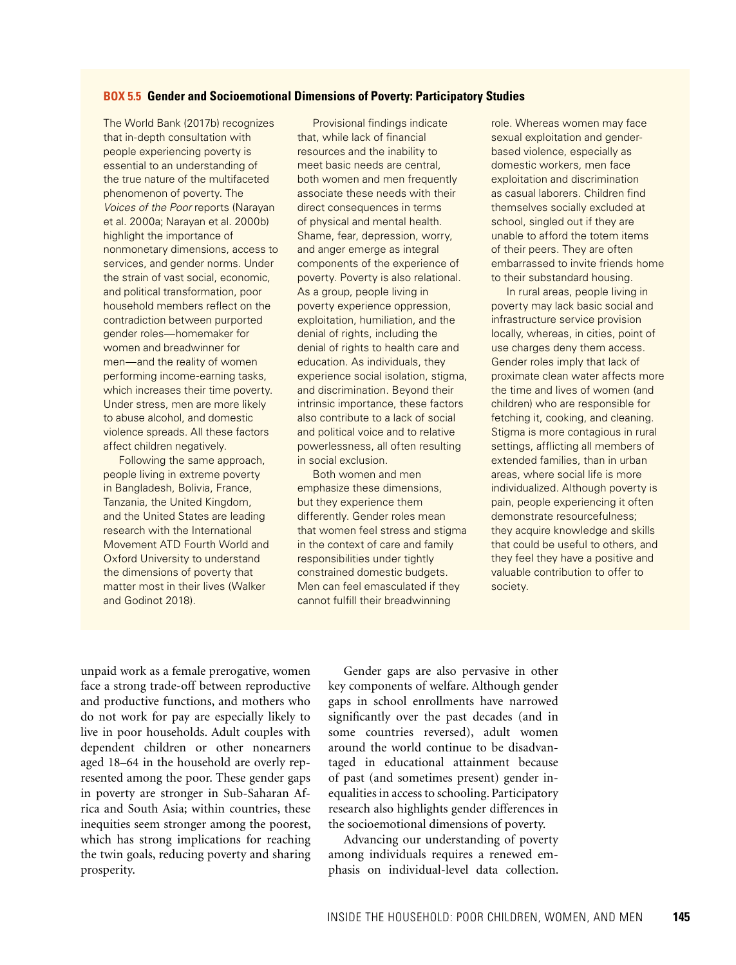#### **BOX 5.5 Gender and Socioemotional Dimensions of Poverty: Participatory Studies**

The World Bank (2017b) recognizes that in-depth consultation with people experiencing poverty is essential to an understanding of the true nature of the multifaceted phenomenon of poverty. The *Voices of the Poor* reports (Narayan et al. 2000a; Narayan et al. 2000b) highlight the importance of nonmonetary dimensions, access to services, and gender norms. Under the strain of vast social, economic, and political transformation, poor household members reflect on the contradiction between purported gender roles—homemaker for women and breadwinner for men—and the reality of women performing income-earning tasks, which increases their time poverty. Under stress, men are more likely to abuse alcohol, and domestic violence spreads. All these factors affect children negatively.

Following the same approach, people living in extreme poverty in Bangladesh, Bolivia, France, Tanzania, the United Kingdom, and the United States are leading research with the International Movement ATD Fourth World and Oxford University to understand the dimensions of poverty that matter most in their lives (Walker and Godinot 2018).

Provisional findings indicate that, while lack of financial resources and the inability to meet basic needs are central, both women and men frequently associate these needs with their direct consequences in terms of physical and mental health. Shame, fear, depression, worry, and anger emerge as integral components of the experience of poverty. Poverty is also relational. As a group, people living in poverty experience oppression, exploitation, humiliation, and the denial of rights, including the denial of rights to health care and education. As individuals, they experience social isolation, stigma, and discrimination. Beyond their intrinsic importance, these factors also contribute to a lack of social and political voice and to relative powerlessness, all often resulting in social exclusion.

Both women and men emphasize these dimensions, but they experience them differently. Gender roles mean that women feel stress and stigma in the context of care and family responsibilities under tightly constrained domestic budgets. Men can feel emasculated if they cannot fulfill their breadwinning

role. Whereas women may face sexual exploitation and genderbased violence, especially as domestic workers, men face exploitation and discrimination as casual laborers. Children find themselves socially excluded at school, singled out if they are unable to afford the totem items of their peers. They are often embarrassed to invite friends home to their substandard housing.

In rural areas, people living in poverty may lack basic social and infrastructure service provision locally, whereas, in cities, point of use charges deny them access. Gender roles imply that lack of proximate clean water affects more the time and lives of women (and children) who are responsible for fetching it, cooking, and cleaning. Stigma is more contagious in rural settings, afflicting all members of extended families, than in urban areas, where social life is more individualized. Although poverty is pain, people experiencing it often demonstrate resourcefulness; they acquire knowledge and skills that could be useful to others, and they feel they have a positive and valuable contribution to offer to society.

unpaid work as a female prerogative, women face a strong trade-off between reproductive and productive functions, and mothers who do not work for pay are especially likely to live in poor households. Adult couples with dependent children or other nonearners aged 18–64 in the household are overly represented among the poor. These gender gaps in poverty are stronger in Sub-Saharan Africa and South Asia; within countries, these inequities seem stronger among the poorest, which has strong implications for reaching the twin goals, reducing poverty and sharing prosperity.

Gender gaps are also pervasive in other key components of welfare. Although gender gaps in school enrollments have narrowed significantly over the past decades (and in some countries reversed), adult women around the world continue to be disadvantaged in educational attainment because of past (and sometimes present) gender inequalities in access to schooling. Participatory research also highlights gender differences in the socioemotional dimensions of poverty.

Advancing our understanding of poverty among individuals requires a renewed emphasis on individual-level data collection.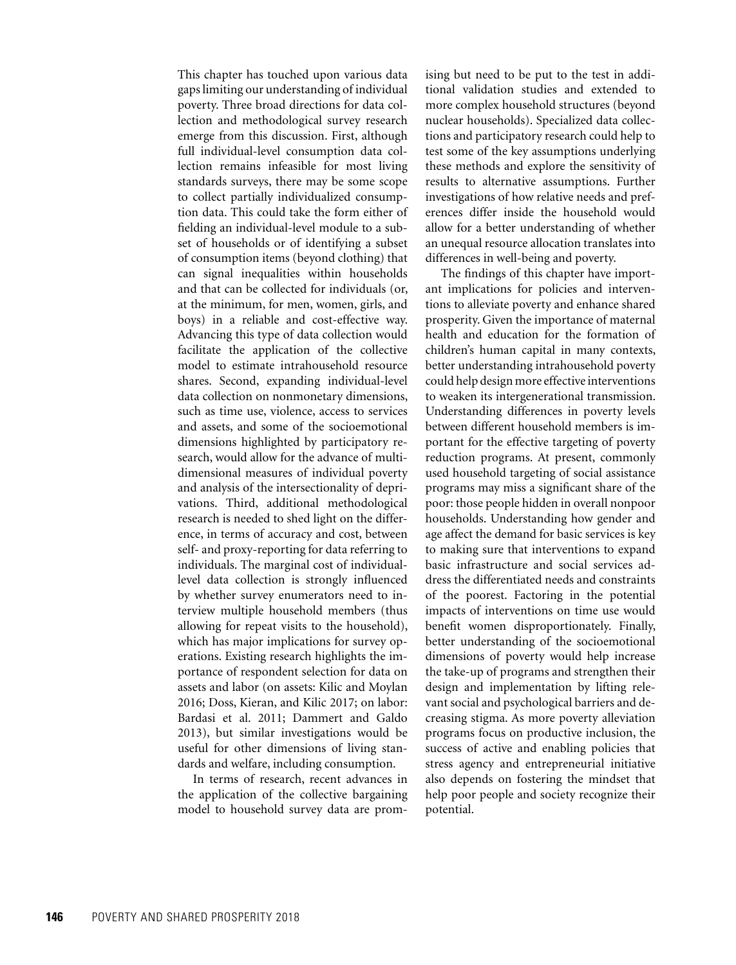This chapter has touched upon various data gaps limiting our understanding of individual poverty. Three broad directions for data collection and methodological survey research emerge from this discussion. First, although full individual-level consumption data collection remains infeasible for most living standards surveys, there may be some scope to collect partially individualized consumption data. This could take the form either of fielding an individual-level module to a subset of households or of identifying a subset of consumption items (beyond clothing) that can signal inequalities within households and that can be collected for individuals (or, at the minimum, for men, women, girls, and boys) in a reliable and cost-effective way. Advancing this type of data collection would facilitate the application of the collective model to estimate intrahousehold resource shares. Second, expanding individual-level data collection on nonmonetary dimensions, such as time use, violence, access to services and assets, and some of the socioemotional dimensions highlighted by participatory research, would allow for the advance of multidimensional measures of individual poverty and analysis of the intersectionality of deprivations. Third, additional methodological research is needed to shed light on the difference, in terms of accuracy and cost, between self- and proxy-reporting for data referring to individuals. The marginal cost of individuallevel data collection is strongly influenced by whether survey enumerators need to interview multiple household members (thus allowing for repeat visits to the household), which has major implications for survey operations. Existing research highlights the importance of respondent selection for data on assets and labor (on assets: Kilic and Moylan 2016; Doss, Kieran, and Kilic 2017; on labor: Bardasi et al. 2011; Dammert and Galdo 2013), but similar investigations would be useful for other dimensions of living standards and welfare, including consumption.

In terms of research, recent advances in the application of the collective bargaining model to household survey data are promising but need to be put to the test in additional validation studies and extended to more complex household structures (beyond nuclear households). Specialized data collections and participatory research could help to test some of the key assumptions underlying these methods and explore the sensitivity of results to alternative assumptions. Further investigations of how relative needs and preferences differ inside the household would allow for a better understanding of whether an unequal resource allocation translates into differences in well-being and poverty.

The findings of this chapter have important implications for policies and interventions to alleviate poverty and enhance shared prosperity. Given the importance of maternal health and education for the formation of children's human capital in many contexts, better understanding intrahousehold poverty could help design more effective interventions to weaken its intergenerational transmission. Understanding differences in poverty levels between different household members is important for the effective targeting of poverty reduction programs. At present, commonly used household targeting of social assistance programs may miss a significant share of the poor: those people hidden in overall nonpoor households. Understanding how gender and age affect the demand for basic services is key to making sure that interventions to expand basic infrastructure and social services address the differentiated needs and constraints of the poorest. Factoring in the potential impacts of interventions on time use would benefit women disproportionately. Finally, better understanding of the socioemotional dimensions of poverty would help increase the take-up of programs and strengthen their design and implementation by lifting relevant social and psychological barriers and decreasing stigma. As more poverty alleviation programs focus on productive inclusion, the success of active and enabling policies that stress agency and entrepreneurial initiative also depends on fostering the mindset that help poor people and society recognize their potential.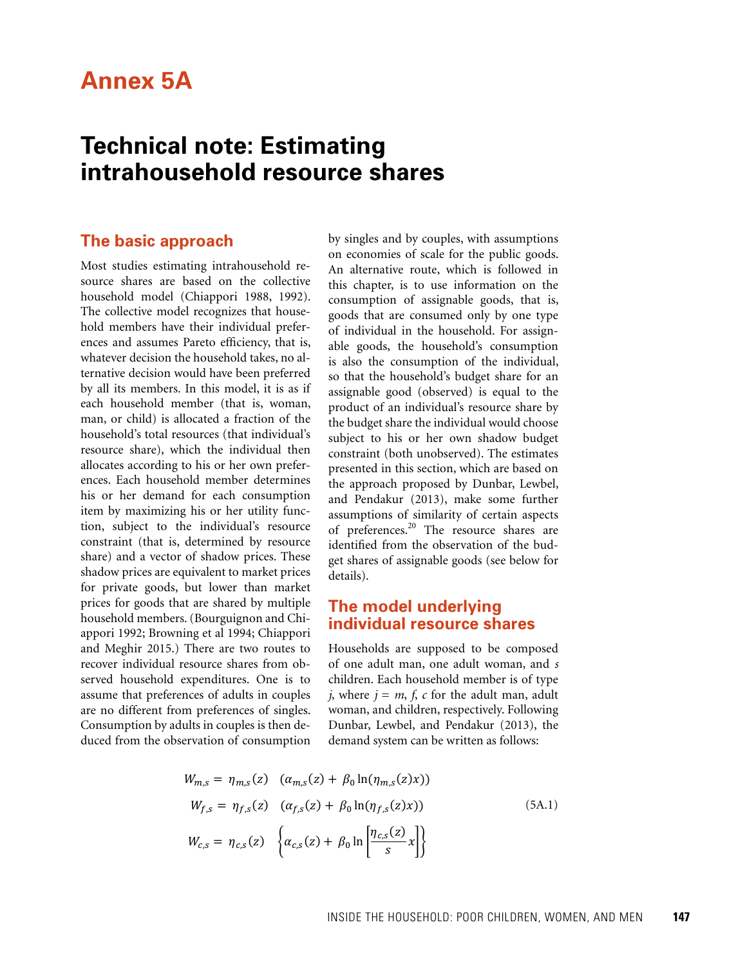## **Annex 5A**

## **Technical note: Estimating intrahousehold resource shares**

## **The basic approach**

Most studies estimating intrahousehold resource shares are based on the collective  $h$ ousehold model (Chiappori 1988, 1992).  $\frac{h}{\text{consumption}}$ The collective model recognizes that household members have their individual preferences and assumes Pareto efficiency, that is, whatever decision the household takes, no alternative decision would have been preferred by all its members. In this model, it is as if each household member (that is, woman, man, or child) is allocated a fraction of the household's total resources (that individual's resource share), which the individual then resource share), which the individual then<br>allocates according to his or her own preferences. Each household member determines his or her demand for each consumption item by maximizing his or her utility function, subject to the individual's resource constraint (that is, determined by resource  $\int_{1}^{1}$ constraint (that is, determined by resource<br>share) and a vector of shadow prices. These shadow prices are equivalent to market prices for private goods, but lower than market prices for goods that are shared by multiple household members. (Bourguignon and Chiappori 1992; Browning et al 1994; Chiappori appori 1992; Browning et al 1994; Chiappori<br>and Meghir 2015.) There are two routes to recover individual resource shares from observed household expenditures. One is to assume that preferences of adults in couples are no different from preferences of singles. are no different from preferences of singles.<br>Consumption by adults in couples is then deduced from the observation of consumption by all its members. In this model, it is as if assignable good (observed) is equal to the

by singles and by couples, with assumptions on economies of scale for the public goods. An alternative route, which is followed in this chapter, is to use information on the consumption of assignable goods, that is, goods that are consumed only by one type of individual in the household. For assignl assumes Pareto efficiency, that is, able goods, the household's consumption is also the consumption of the individual, so that the household's budget share for an product of an individual's resource share by the budget share the individual would choose subject to his or her own shadow budget constraint (both unobserved). The estimates  $\frac{1}{2}$  presented in this section, which are based on the approach proposed by Dunbar, Lewbel, and Pendakur (2013), make some further assumptions of similarity of certain aspects of preferences.20 The resource shares are identified from the observation of the budget shares of assignable goods (see below for details).

## **The model underlying individual resource shares**

Households are supposed to be composed of one adult man, one adult woman, and *s* children. Each household member is of type *j*, where  $j = m$ ,  $f$ ,  $c$  for the adult man, adult woman, and children, respectively. Following Dunbar, Lewbel, and Pendakur (2013), the demand system can be written as follows:

$$
W_{m,s} = \eta_{m,s}(z) \quad (\alpha_{m,s}(z) + \beta_0 \ln(\eta_{m,s}(z)x))
$$
  
\n
$$
W_{f,s} = \eta_{f,s}(z) \quad (\alpha_{f,s}(z) + \beta_0 \ln(\eta_{f,s}(z)x))
$$
  
\n
$$
W_{c,s} = \eta_{c,s}(z) \quad \left\{ \alpha_{c,s}(z) + \beta_0 \ln \left[ \frac{\eta_{c,s}(z)}{s} x \right] \right\}
$$
\n(5A.1)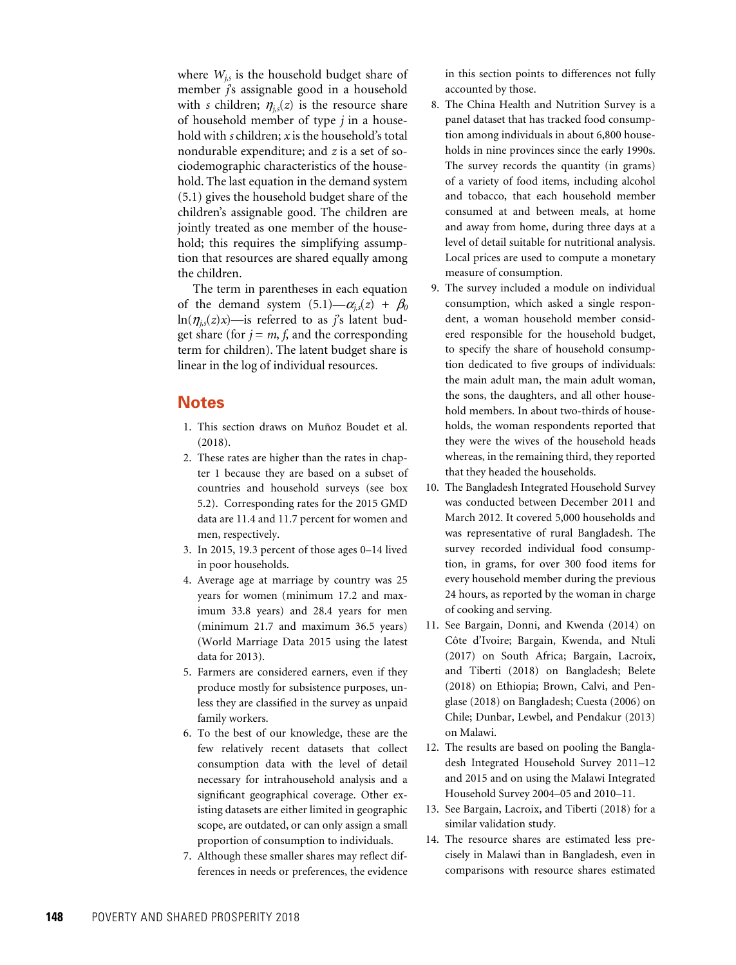where  $W_{i,s}$  is the household budget share of member *j*'s assignable good in a household with *s* children;  $\eta_{i,s}(z)$  is the resource share of household member of type *j* in a household with *s* children; *x* is the household's total nondurable expenditure; and *z* is a set of sociodemographic characteristics of the household. The last equation in the demand system (5.1) gives the household budget share of the children's assignable good. The children are jointly treated as one member of the household; this requires the simplifying assumption that resources are shared equally among the children.

The term in parentheses in each equation of the demand system  $(5.1)$ — $\alpha$ <sub>*is*</sub> $(z)$  +  $\beta$ <sup>0</sup> ln( $\eta$ <sub>*is*</sub>(*z*)*x*)—is referred to as *j*'s latent budget share (for  $j = m$ ,  $f$ , and the corresponding term for children). The latent budget share is linear in the log of individual resources.

## **Notes**

- 1. This section draws on Muñoz Boudet et al. (2018).
- 2. These rates are higher than the rates in chapter 1 because they are based on a subset of countries and household surveys (see box 5.2). Corresponding rates for the 2015 GMD data are 11.4 and 11.7 percent for women and men, respectively.
- 3. In 2015, 19.3 percent of those ages 0–14 lived in poor households.
- 4. Average age at marriage by country was 25 years for women (minimum 17.2 and maximum 33.8 years) and 28.4 years for men (minimum 21.7 and maximum 36.5 years) (World Marriage Data 2015 using the latest data for 2013).
- 5. Farmers are considered earners, even if they produce mostly for subsistence purposes, unless they are classified in the survey as unpaid family workers.
- 6. To the best of our knowledge, these are the few relatively recent datasets that collect consumption data with the level of detail necessary for intrahousehold analysis and a significant geographical coverage. Other existing datasets are either limited in geographic scope, are outdated, or can only assign a small proportion of consumption to individuals.
- 7. Although these smaller shares may reflect differences in needs or preferences, the evidence

in this section points to differences not fully accounted by those.

- 8. The China Health and Nutrition Survey is a panel dataset that has tracked food consumption among individuals in about 6,800 households in nine provinces since the early 1990s. The survey records the quantity (in grams) of a variety of food items, including alcohol and tobacco, that each household member consumed at and between meals, at home and away from home, during three days at a level of detail suitable for nutritional analysis. Local prices are used to compute a monetary measure of consumption.
- 9. The survey included a module on individual consumption, which asked a single respondent, a woman household member considered responsible for the household budget, to specify the share of household consumption dedicated to five groups of individuals: the main adult man, the main adult woman, the sons, the daughters, and all other household members. In about two-thirds of households, the woman respondents reported that they were the wives of the household heads whereas, in the remaining third, they reported that they headed the households.
- 10. The Bangladesh Integrated Household Survey was conducted between December 2011 and March 2012. It covered 5,000 households and was representative of rural Bangladesh. The survey recorded individual food consumption, in grams, for over 300 food items for every household member during the previous 24 hours, as reported by the woman in charge of cooking and serving.
- 11. See Bargain, Donni, and Kwenda (2014) on Côte d'Ivoire; Bargain, Kwenda, and Ntuli (2017) on South Africa; Bargain, Lacroix, and Tiberti (2018) on Bangladesh; Belete (2018) on Ethiopia; Brown, Calvi, and Penglase (2018) on Bangladesh; Cuesta (2006) on Chile; Dunbar, Lewbel, and Pendakur (2013) on Malawi.
- 12. The results are based on pooling the Bangladesh Integrated Household Survey 2011–12 and 2015 and on using the Malawi Integrated Household Survey 2004–05 and 2010–11.
- 13. See Bargain, Lacroix, and Tiberti (2018) for a similar validation study.
- 14. The resource shares are estimated less precisely in Malawi than in Bangladesh, even in comparisons with resource shares estimated